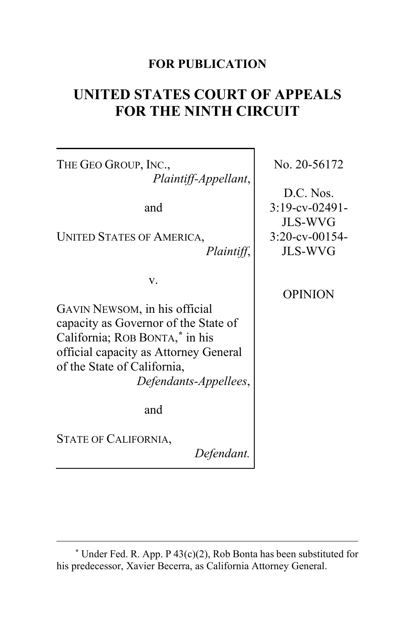## **FOR PUBLICATION**

# **UNITED STATES COURT OF APPEALS FOR THE NINTH CIRCUIT**

THE GEO GROUP, INC., *Plaintiff-Appellant*, and UNITED STATES OF AMERICA, *Plaintiff*, v. GAVIN NEWSOM, in his official capacity as Governor of the State of California; ROB BONTA, **[\\*](#page-0-0)** in his official capacity as Attorney General of the State of California, *Defendants-Appellees*, and STATE OF CALIFORNIA, *Defendant.* No. 20-56172 D.C. Nos. 3:19-cv-02491- JLS-WVG 3:20-cv-00154- JLS-WVG **OPINION** 

<span id="page-0-0"></span>**<sup>\*</sup>** Under Fed. R. App. P 43(c)(2), Rob Bonta has been substituted for his predecessor, Xavier Becerra, as California Attorney General.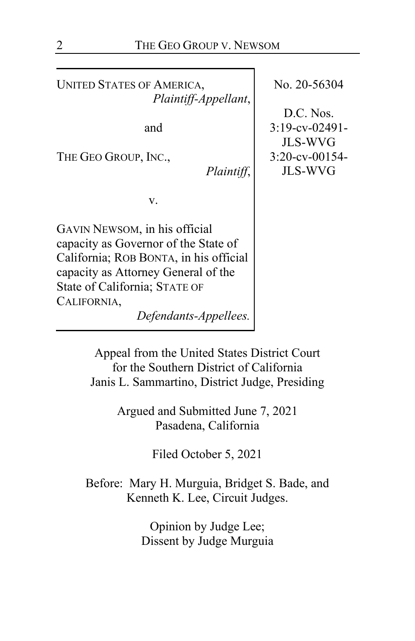UNITED STATES OF AMERICA, *Plaintiff-Appellant*,

and

THE GEO GROUP, INC.,

*Plaintiff*,

v.

GAVIN NEWSOM, in his official capacity as Governor of the State of California; ROB BONTA, in his official capacity as Attorney General of the State of California; STATE OF CALIFORNIA,

*Defendants-Appellees.*

No. 20-56304

D.C. Nos. 3:19-cv-02491- JLS-WVG 3:20-cv-00154- JLS-WVG

Appeal from the United States District Court for the Southern District of California Janis L. Sammartino, District Judge, Presiding

> Argued and Submitted June 7, 2021 Pasadena, California

> > Filed October 5, 2021

Before: Mary H. Murguia, Bridget S. Bade, and Kenneth K. Lee, Circuit Judges.

> Opinion by Judge Lee; Dissent by Judge Murguia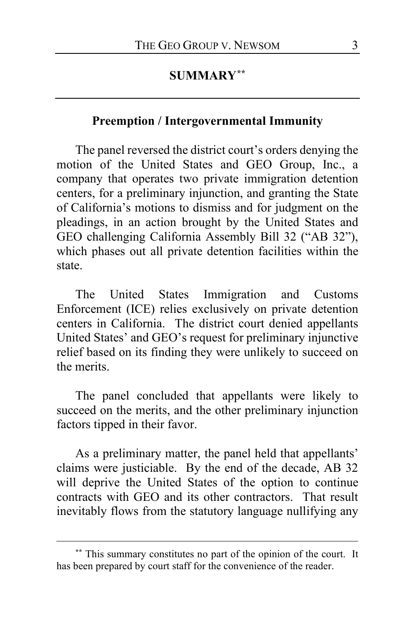# **SUMMARY[\\*\\*](#page-2-0)**

#### **Preemption / Intergovernmental Immunity**

The panel reversed the district court's orders denying the motion of the United States and GEO Group, Inc., a company that operates two private immigration detention centers, for a preliminary injunction, and granting the State of California's motions to dismiss and for judgment on the pleadings, in an action brought by the United States and GEO challenging California Assembly Bill 32 ("AB 32"), which phases out all private detention facilities within the state.

The United States Immigration and Customs Enforcement (ICE) relies exclusively on private detention centers in California. The district court denied appellants United States' and GEO's request for preliminary injunctive relief based on its finding they were unlikely to succeed on the merits.

The panel concluded that appellants were likely to succeed on the merits, and the other preliminary injunction factors tipped in their favor.

As a preliminary matter, the panel held that appellants' claims were justiciable. By the end of the decade, AB 32 will deprive the United States of the option to continue contracts with GEO and its other contractors. That result inevitably flows from the statutory language nullifying any

<span id="page-2-0"></span>**<sup>\*\*</sup>** This summary constitutes no part of the opinion of the court. It has been prepared by court staff for the convenience of the reader.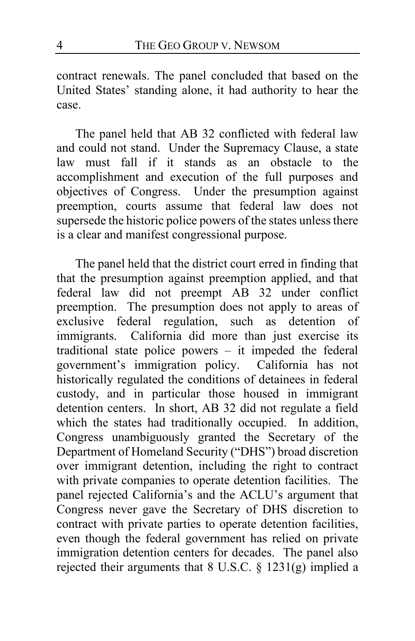contract renewals. The panel concluded that based on the United States' standing alone, it had authority to hear the case.

The panel held that AB 32 conflicted with federal law and could not stand. Under the Supremacy Clause, a state law must fall if it stands as an obstacle to the accomplishment and execution of the full purposes and objectives of Congress. Under the presumption against preemption, courts assume that federal law does not supersede the historic police powers of the states unless there is a clear and manifest congressional purpose.

The panel held that the district court erred in finding that that the presumption against preemption applied, and that federal law did not preempt AB 32 under conflict preemption. The presumption does not apply to areas of exclusive federal regulation, such as detention of immigrants. California did more than just exercise its traditional state police powers – it impeded the federal government's immigration policy. California has not historically regulated the conditions of detainees in federal custody, and in particular those housed in immigrant detention centers. In short, AB 32 did not regulate a field which the states had traditionally occupied. In addition, Congress unambiguously granted the Secretary of the Department of Homeland Security ("DHS") broad discretion over immigrant detention, including the right to contract with private companies to operate detention facilities. The panel rejected California's and the ACLU's argument that Congress never gave the Secretary of DHS discretion to contract with private parties to operate detention facilities, even though the federal government has relied on private immigration detention centers for decades. The panel also rejected their arguments that 8 U.S.C.  $\S$  1231(g) implied a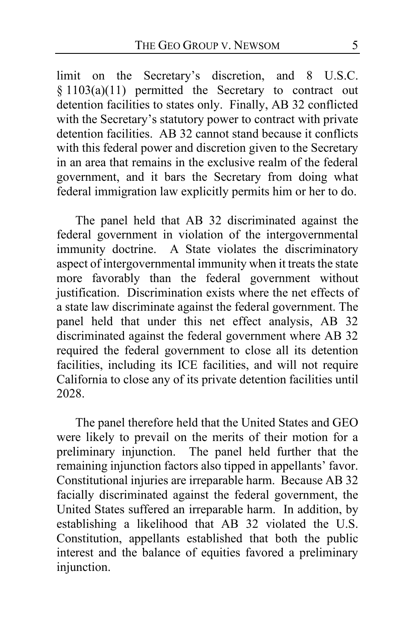limit on the Secretary's discretion, and 8 U.S.C. § 1103(a)(11) permitted the Secretary to contract out detention facilities to states only. Finally, AB 32 conflicted with the Secretary's statutory power to contract with private detention facilities. AB 32 cannot stand because it conflicts with this federal power and discretion given to the Secretary in an area that remains in the exclusive realm of the federal government, and it bars the Secretary from doing what federal immigration law explicitly permits him or her to do.

The panel held that AB 32 discriminated against the federal government in violation of the intergovernmental immunity doctrine. A State violates the discriminatory aspect of intergovernmental immunity when it treats the state more favorably than the federal government without justification. Discrimination exists where the net effects of a state law discriminate against the federal government. The panel held that under this net effect analysis, AB 32 discriminated against the federal government where AB 32 required the federal government to close all its detention facilities, including its ICE facilities, and will not require California to close any of its private detention facilities until 2028.

The panel therefore held that the United States and GEO were likely to prevail on the merits of their motion for a preliminary injunction. The panel held further that the remaining injunction factors also tipped in appellants' favor. Constitutional injuries are irreparable harm. Because AB 32 facially discriminated against the federal government, the United States suffered an irreparable harm. In addition, by establishing a likelihood that AB 32 violated the U.S. Constitution, appellants established that both the public interest and the balance of equities favored a preliminary injunction.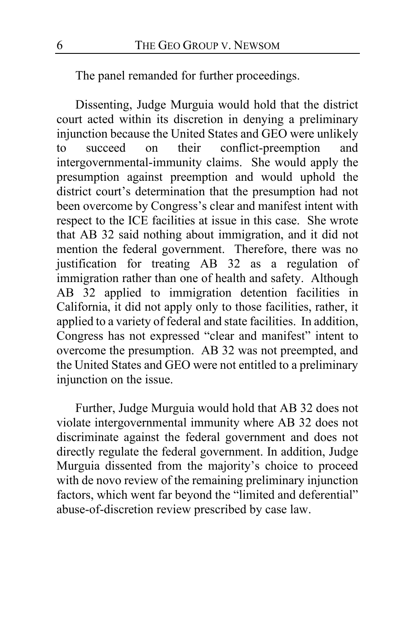The panel remanded for further proceedings.

Dissenting, Judge Murguia would hold that the district court acted within its discretion in denying a preliminary injunction because the United States and GEO were unlikely to succeed on their conflict-preemption and intergovernmental-immunity claims. She would apply the presumption against preemption and would uphold the district court's determination that the presumption had not been overcome by Congress's clear and manifest intent with respect to the ICE facilities at issue in this case. She wrote that AB 32 said nothing about immigration, and it did not mention the federal government. Therefore, there was no justification for treating AB 32 as a regulation of immigration rather than one of health and safety. Although AB 32 applied to immigration detention facilities in California, it did not apply only to those facilities, rather, it applied to a variety of federal and state facilities. In addition, Congress has not expressed "clear and manifest" intent to overcome the presumption. AB 32 was not preempted, and the United States and GEO were not entitled to a preliminary injunction on the issue.

Further, Judge Murguia would hold that AB 32 does not violate intergovernmental immunity where AB 32 does not discriminate against the federal government and does not directly regulate the federal government. In addition, Judge Murguia dissented from the majority's choice to proceed with de novo review of the remaining preliminary injunction factors, which went far beyond the "limited and deferential" abuse-of-discretion review prescribed by case law.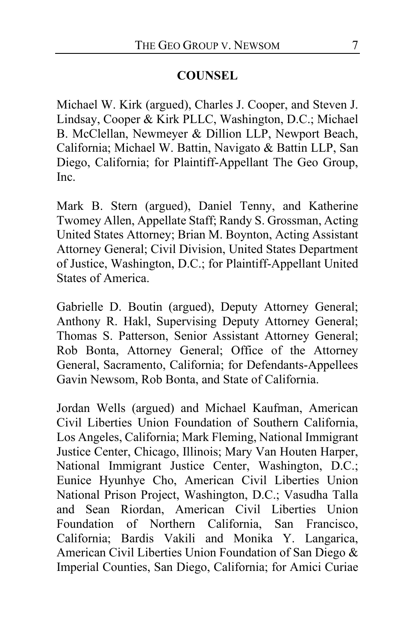### **COUNSEL**

Michael W. Kirk (argued), Charles J. Cooper, and Steven J. Lindsay, Cooper & Kirk PLLC, Washington, D.C.; Michael B. McClellan, Newmeyer & Dillion LLP, Newport Beach, California; Michael W. Battin, Navigato & Battin LLP, San Diego, California; for Plaintiff-Appellant The Geo Group, Inc.

Mark B. Stern (argued), Daniel Tenny, and Katherine Twomey Allen, Appellate Staff; Randy S. Grossman, Acting United States Attorney; Brian M. Boynton, Acting Assistant Attorney General; Civil Division, United States Department of Justice, Washington, D.C.; for Plaintiff-Appellant United States of America.

Gabrielle D. Boutin (argued), Deputy Attorney General; Anthony R. Hakl, Supervising Deputy Attorney General; Thomas S. Patterson, Senior Assistant Attorney General; Rob Bonta, Attorney General; Office of the Attorney General, Sacramento, California; for Defendants-Appellees Gavin Newsom, Rob Bonta, and State of California.

Jordan Wells (argued) and Michael Kaufman, American Civil Liberties Union Foundation of Southern California, Los Angeles, California; Mark Fleming, National Immigrant Justice Center, Chicago, Illinois; Mary Van Houten Harper, National Immigrant Justice Center, Washington, D.C.; Eunice Hyunhye Cho, American Civil Liberties Union National Prison Project, Washington, D.C.; Vasudha Talla and Sean Riordan, American Civil Liberties Union Foundation of Northern California, San Francisco, California; Bardis Vakili and Monika Y. Langarica, American Civil Liberties Union Foundation of San Diego & Imperial Counties, San Diego, California; for Amici Curiae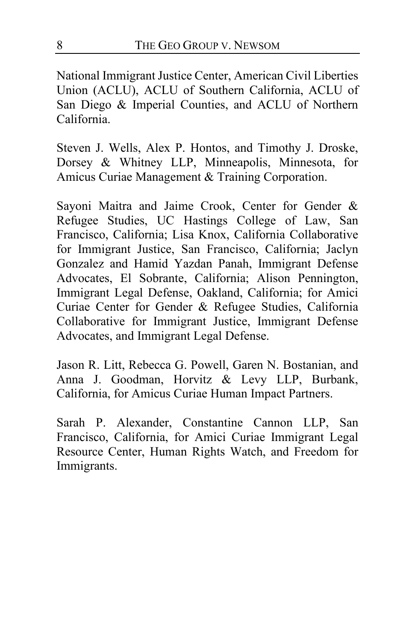National Immigrant Justice Center, American Civil Liberties Union (ACLU), ACLU of Southern California, ACLU of San Diego & Imperial Counties, and ACLU of Northern California.

Steven J. Wells, Alex P. Hontos, and Timothy J. Droske, Dorsey & Whitney LLP, Minneapolis, Minnesota, for Amicus Curiae Management & Training Corporation.

Sayoni Maitra and Jaime Crook, Center for Gender & Refugee Studies, UC Hastings College of Law, San Francisco, California; Lisa Knox, California Collaborative for Immigrant Justice, San Francisco, California; Jaclyn Gonzalez and Hamid Yazdan Panah, Immigrant Defense Advocates, El Sobrante, California; Alison Pennington, Immigrant Legal Defense, Oakland, California; for Amici Curiae Center for Gender & Refugee Studies, California Collaborative for Immigrant Justice, Immigrant Defense Advocates, and Immigrant Legal Defense.

Jason R. Litt, Rebecca G. Powell, Garen N. Bostanian, and Anna J. Goodman, Horvitz & Levy LLP, Burbank, California, for Amicus Curiae Human Impact Partners.

Sarah P. Alexander, Constantine Cannon LLP, San Francisco, California, for Amici Curiae Immigrant Legal Resource Center, Human Rights Watch, and Freedom for Immigrants.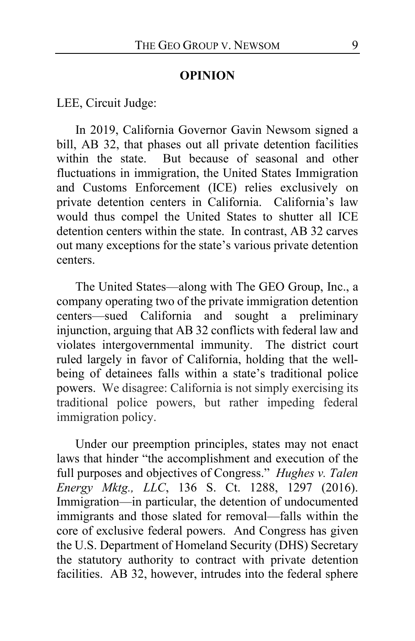### **OPINION**

LEE, Circuit Judge:

In 2019, California Governor Gavin Newsom signed a bill, AB 32, that phases out all private detention facilities within the state. But because of seasonal and other fluctuations in immigration, the United States Immigration and Customs Enforcement (ICE) relies exclusively on private detention centers in California. California's law would thus compel the United States to shutter all ICE detention centers within the state. In contrast, AB 32 carves out many exceptions for the state's various private detention centers.

The United States—along with The GEO Group, Inc., a company operating two of the private immigration detention centers—sued California and sought a preliminary injunction, arguing that AB 32 conflicts with federal law and violates intergovernmental immunity. The district court ruled largely in favor of California, holding that the wellbeing of detainees falls within a state's traditional police powers. We disagree: California is not simply exercising its traditional police powers, but rather impeding federal immigration policy.

<span id="page-8-0"></span>Under our preemption principles, states may not enact laws that hinder "the accomplishment and execution of the full purposes and objectives of Congress." *Hughes v. Talen Energy Mktg., LLC*, 136 S. Ct. 1288, 1297 (2016). Immigration—in particular, the detention of undocumented immigrants and those slated for removal—falls within the core of exclusive federal powers. And Congress has given the U.S. Department of Homeland Security (DHS) Secretary the statutory authority to contract with private detention facilities. AB 32, however, intrudes into the federal sphere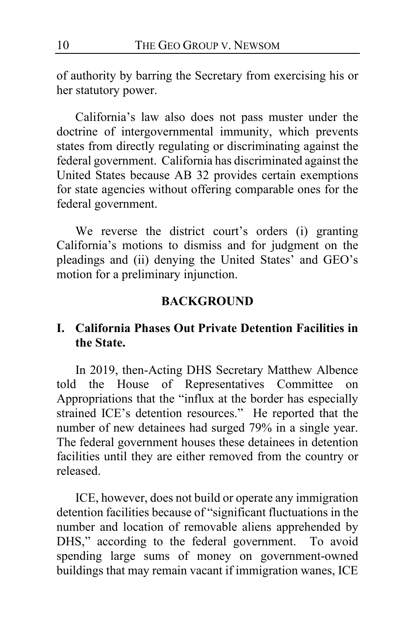of authority by barring the Secretary from exercising his or her statutory power.

California's law also does not pass muster under the doctrine of intergovernmental immunity, which prevents states from directly regulating or discriminating against the federal government. California has discriminated against the United States because AB 32 provides certain exemptions for state agencies without offering comparable ones for the federal government.

We reverse the district court's orders (i) granting California's motions to dismiss and for judgment on the pleadings and (ii) denying the United States' and GEO's motion for a preliminary injunction.

### **BACKGROUND**

# **I. California Phases Out Private Detention Facilities in the State.**

In 2019, then-Acting DHS Secretary Matthew Albence told the House of Representatives Committee on Appropriations that the "influx at the border has especially strained ICE's detention resources." He reported that the number of new detainees had surged 79% in a single year. The federal government houses these detainees in detention facilities until they are either removed from the country or released.

ICE, however, does not build or operate any immigration detention facilities because of "significant fluctuations in the number and location of removable aliens apprehended by DHS," according to the federal government. To avoid spending large sums of money on government-owned buildings that may remain vacant if immigration wanes, ICE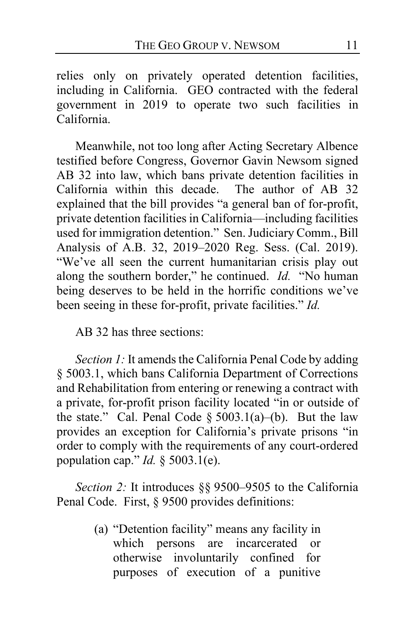relies only on privately operated detention facilities, including in California. GEO contracted with the federal government in 2019 to operate two such facilities in California.

Meanwhile, not too long after Acting Secretary Albence testified before Congress, Governor Gavin Newsom signed AB 32 into law, which bans private detention facilities in California within this decade. The author of AB 32  $California$  within this decade. explained that the bill provides "a general ban of for-profit, private detention facilities in California—including facilities used for immigration detention." Sen. Judiciary Comm., Bill Analysis of A.B. 32, 2019–2020 Reg. Sess. (Cal. 2019). "We've all seen the current humanitarian crisis play out along the southern border," he continued. *Id.* "No human being deserves to be held in the horrific conditions we've been seeing in these for-profit, private facilities." *Id.*

AB 32 has three sections:

*Section 1:* It amends the California Penal Code by adding § 5003.1, which bans California Department of Corrections and Rehabilitation from entering or renewing a contract with a private, for-profit prison facility located "in or outside of the state." Cal. Penal Code  $\S 5003.1(a)$ –(b). But the law provides an exception for California's private prisons "in order to comply with the requirements of any court-ordered population cap." *Id.* § 5003.1(e).

*Section 2:* It introduces §§ 9500–9505 to the California Penal Code. First, § 9500 provides definitions:

> (a) "Detention facility" means any facility in which persons are incarcerated or otherwise involuntarily confined for purposes of execution of a punitive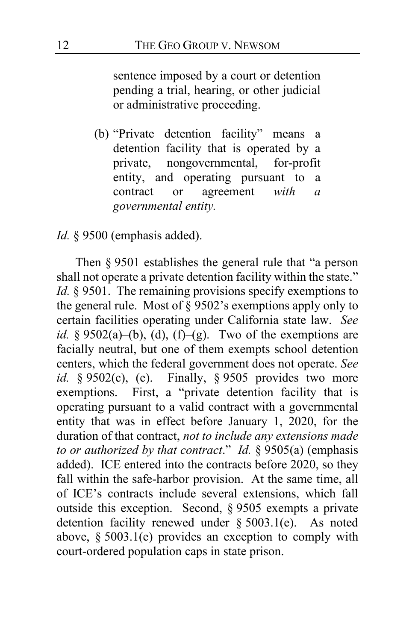sentence imposed by a court or detention pending a trial, hearing, or other judicial or administrative proceeding.

(b) "Private detention facility" means a detention facility that is operated by a private, nongovernmental, for-profit entity, and operating pursuant to a contract or agreement *with a governmental entity.*

*Id.* § 9500 (emphasis added).

Then § 9501 establishes the general rule that "a person shall not operate a private detention facility within the state." *Id.* § 9501. The remaining provisions specify exemptions to the general rule. Most of § 9502's exemptions apply only to certain facilities operating under California state law. *See id.* §  $9502(a)$ –(b), (d), (f)–(g). Two of the exemptions are facially neutral, but one of them exempts school detention centers, which the federal government does not operate. *See id.* § 9502(c), (e). Finally, § 9505 provides two more exemptions. First, a "private detention facility that is operating pursuant to a valid contract with a governmental entity that was in effect before January 1, 2020, for the duration of that contract, *not to include any extensions made to or authorized by that contract*." *Id.* § 9505(a) (emphasis added). ICE entered into the contracts before 2020, so they fall within the safe-harbor provision. At the same time, all of ICE's contracts include several extensions, which fall outside this exception. Second, § 9505 exempts a private detention facility renewed under § 5003.1(e). As noted above, § 5003.1(e) provides an exception to comply with court-ordered population caps in state prison.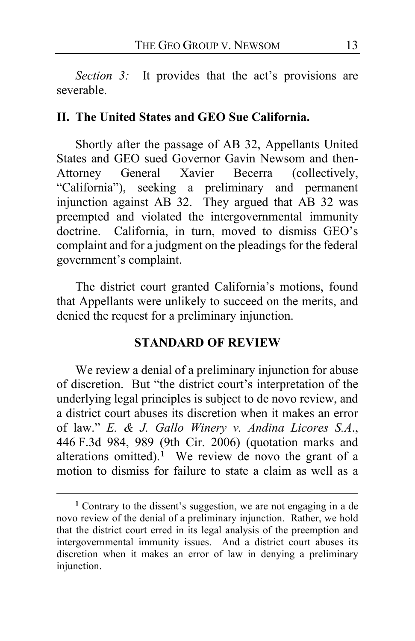*Section 3:* It provides that the act's provisions are severable.

#### **II. The United States and GEO Sue California.**

Shortly after the passage of AB 32, Appellants United States and GEO sued Governor Gavin Newsom and then-Attorney General Xavier Becerra (collectively, "California"), seeking a preliminary and permanent injunction against AB 32. They argued that AB 32 was preempted and violated the intergovernmental immunity doctrine. California, in turn, moved to dismiss GEO's complaint and for a judgment on the pleadings for the federal government's complaint.

The district court granted California's motions, found that Appellants were unlikely to succeed on the merits, and denied the request for a preliminary injunction.

#### **STANDARD OF REVIEW**

We review a denial of a preliminary injunction for abuse of discretion. But "the district court's interpretation of the underlying legal principles is subject to de novo review, and a district court abuses its discretion when it makes an error of law." *E. & J. Gallo Winery v. Andina Licores S.A*., 446 F.3d 984, 989 (9th Cir. 2006) (quotation marks and alterations omitted).<sup>[1](#page-12-0)</sup> We review de novo the grant of a motion to dismiss for failure to state a claim as well as a

<span id="page-12-1"></span><span id="page-12-0"></span>**<sup>1</sup>** Contrary to the dissent's suggestion, we are not engaging in a de novo review of the denial of a preliminary injunction. Rather, we hold that the district court erred in its legal analysis of the preemption and intergovernmental immunity issues. And a district court abuses its discretion when it makes an error of law in denying a preliminary injunction.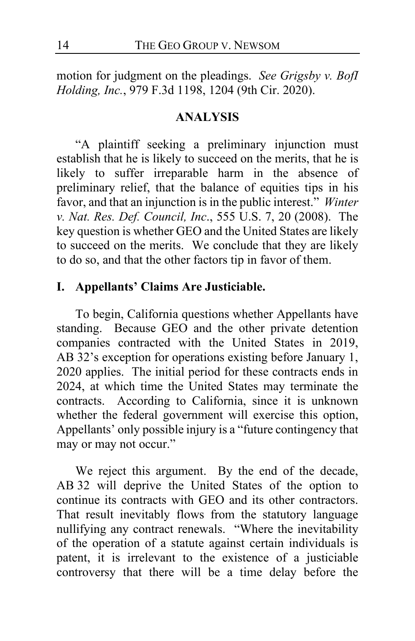motion for judgment on the pleadings. *See Grigsby v. BofI Holding, Inc.*, 979 F.3d 1198, 1204 (9th Cir. 2020).

#### **ANALYSIS**

"A plaintiff seeking a preliminary injunction must establish that he is likely to succeed on the merits, that he is likely to suffer irreparable harm in the absence of preliminary relief, that the balance of equities tips in his favor, and that an injunction is in the public interest." *Winter v. Nat. Res. Def. Council, Inc*., 555 U.S. 7, 20 (2008). The key question is whether GEO and the United States are likely to succeed on the merits. We conclude that they are likely to do so, and that the other factors tip in favor of them.

### **I. Appellants' Claims Are Justiciable.**

To begin, California questions whether Appellants have standing. Because GEO and the other private detention companies contracted with the United States in 2019, AB 32's exception for operations existing before January 1, 2020 applies. The initial period for these contracts ends in 2024, at which time the United States may terminate the contracts. According to California, since it is unknown whether the federal government will exercise this option, Appellants' only possible injury is a "future contingency that may or may not occur."

We reject this argument. By the end of the decade, AB 32 will deprive the United States of the option to continue its contracts with GEO and its other contractors. That result inevitably flows from the statutory language nullifying any contract renewals. "Where the inevitability of the operation of a statute against certain individuals is patent, it is irrelevant to the existence of a justiciable controversy that there will be a time delay before the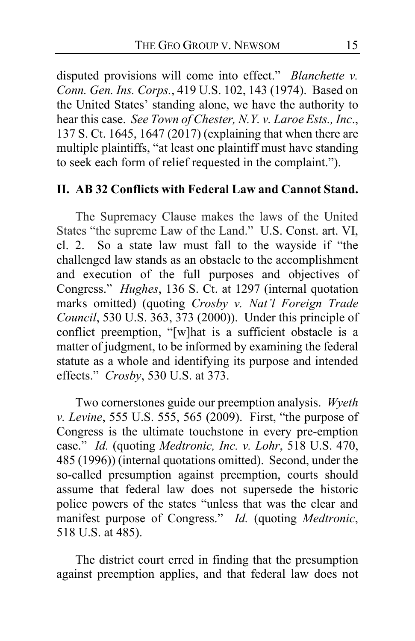<span id="page-14-0"></span>disputed provisions will come into effect." *Blanchette v. Conn. Gen. Ins. Corps.*, 419 U.S. 102, 143 (1974). Based on the United States' standing alone, we have the authority to hear this case. *See Town of Chester, N.Y. v. Laroe Ests., Inc*., 137 S. Ct. 1645, 1647 (2017) (explaining that when there are multiple plaintiffs, "at least one plaintiff must have standing to seek each form of relief requested in the complaint.").

### **II. AB 32 Conflicts with Federal Law and Cannot Stand.**

The Supremacy Clause makes the laws of the United States "the supreme Law of the Land." U.S. Const. art. VI, cl. 2. So a state law must fall to the wayside if "the challenged law stands as an obstacle to the accomplishment and execution of the full purposes and objectives of Congress." *Hughes*, 136 S. Ct. at 1297 (internal quotation marks omitted) (quoting *Crosby v. Nat'l Foreign Trade Council*, 530 U.S. 363, 373 (2000)). Under this principle of conflict preemption, "[w]hat is a sufficient obstacle is a matter of judgment, to be informed by examining the federal statute as a whole and identifying its purpose and intended effects." *Crosby*, 530 U.S. at 373.

Two cornerstones guide our preemption analysis. *Wyeth v. Levine*, 555 U.S. 555, 565 (2009). First, "the purpose of Congress is the ultimate touchstone in every pre-emption case." *Id.* (quoting *Medtronic, Inc. v. Lohr*, 518 U.S. 470, 485 (1996)) (internal quotations omitted). Second, under the so-called presumption against preemption, courts should assume that federal law does not supersede the historic police powers of the states "unless that was the clear and manifest purpose of Congress." *Id.* (quoting *Medtronic*, 518 U.S. at 485).

The district court erred in finding that the presumption against preemption applies, and that federal law does not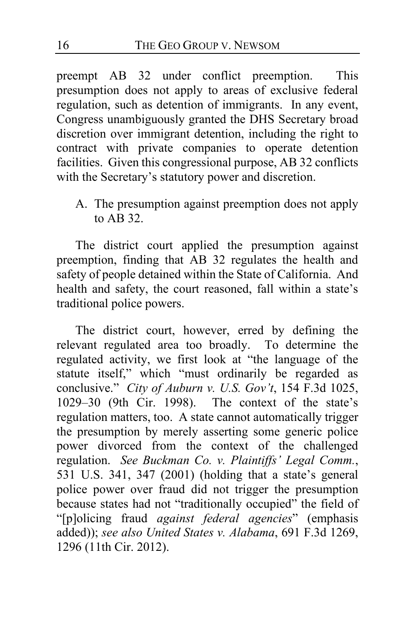preempt AB 32 under conflict preemption. This presumption does not apply to areas of exclusive federal regulation, such as detention of immigrants. In any event, Congress unambiguously granted the DHS Secretary broad discretion over immigrant detention, including the right to contract with private companies to operate detention facilities. Given this congressional purpose, AB 32 conflicts with the Secretary's statutory power and discretion.

A. The presumption against preemption does not apply to AB 32.

The district court applied the presumption against preemption, finding that AB 32 regulates the health and safety of people detained within the State of California. And health and safety, the court reasoned, fall within a state's traditional police powers.

<span id="page-15-1"></span><span id="page-15-0"></span>The district court, however, erred by defining the relevant regulated area too broadly. To determine the regulated activity, we first look at "the language of the statute itself," which "must ordinarily be regarded as conclusive." *City of Auburn v. U.S. Gov't*, 154 F.3d 1025, 1029–30 (9th Cir. 1998). The context of the state's regulation matters, too. A state cannot automatically trigger the presumption by merely asserting some generic police power divorced from the context of the challenged regulation. *See Buckman Co. v. Plaintiffs' Legal Comm.*, 531 U.S. 341, 347 (2001) (holding that a state's general police power over fraud did not trigger the presumption because states had not "traditionally occupied" the field of "[p]olicing fraud *against federal agencies*" (emphasis added)); *see also United States v. Alabama*, 691 F.3d 1269, 1296 (11th Cir. 2012).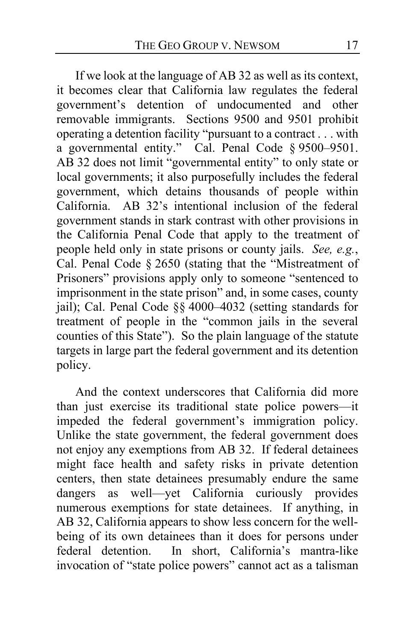<span id="page-16-0"></span>If we look at the language of AB 32 as well as its context, it becomes clear that California law regulates the federal government's detention of undocumented and other removable immigrants. Sections 9500 and 9501 prohibit operating a detention facility "pursuant to a contract . . . with a governmental entity." Cal. Penal Code § 9500–9501. AB 32 does not limit "governmental entity" to only state or local governments; it also purposefully includes the federal government, which detains thousands of people within California. AB 32's intentional inclusion of the federal government stands in stark contrast with other provisions in the California Penal Code that apply to the treatment of people held only in state prisons or county jails. *See, e.g.*, Cal. Penal Code § 2650 (stating that the "Mistreatment of Prisoners" provisions apply only to someone "sentenced to imprisonment in the state prison" and, in some cases, county jail); Cal. Penal Code §§ 4000–4032 (setting standards for treatment of people in the "common jails in the several counties of this State"). So the plain language of the statute targets in large part the federal government and its detention policy.

<span id="page-16-1"></span>And the context underscores that California did more than just exercise its traditional state police powers—it impeded the federal government's immigration policy. Unlike the state government, the federal government does not enjoy any exemptions from AB 32. If federal detainees might face health and safety risks in private detention centers, then state detainees presumably endure the same dangers as well—yet California curiously provides numerous exemptions for state detainees. If anything, in AB 32, California appears to show less concern for the wellbeing of its own detainees than it does for persons under<br>federal detention. In short, California's mantra-like In short, California's mantra-like invocation of "state police powers" cannot act as a talisman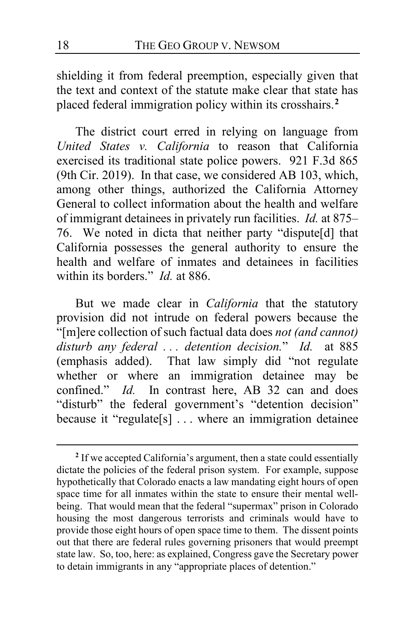shielding it from federal preemption, especially given that the text and context of the statute make clear that state has placed federal immigration policy within its crosshairs.**[2](#page-17-0)**

<span id="page-17-1"></span>The district court erred in relying on language from *United States v. California* to reason that California exercised its traditional state police powers. 921 F.3d 865 (9th Cir. 2019). In that case, we considered AB 103, which, among other things, authorized the California Attorney General to collect information about the health and welfare of immigrant detainees in privately run facilities. *Id.* at 875– 76. We noted in dicta that neither party "dispute[d] that California possesses the general authority to ensure the health and welfare of inmates and detainees in facilities within its borders." *Id.* at 886.

But we made clear in *California* that the statutory provision did not intrude on federal powers because the "[m]ere collection of such factual data does *not (and cannot) disturb any federal . . . detention decision.*" *Id.* at 885 (emphasis added). That law simply did "not regulate whether or where an immigration detainee may be confined." *Id.* In contrast here, AB 32 can and does "disturb" the federal government's "detention decision" because it "regulate[s] . . . where an immigration detainee

<span id="page-17-2"></span><span id="page-17-0"></span>**<sup>2</sup>** If we accepted California's argument, then a state could essentially dictate the policies of the federal prison system. For example, suppose hypothetically that Colorado enacts a law mandating eight hours of open space time for all inmates within the state to ensure their mental wellbeing. That would mean that the federal "supermax" prison in Colorado housing the most dangerous terrorists and criminals would have to provide those eight hours of open space time to them. The dissent points out that there are federal rules governing prisoners that would preempt state law. So, too, here: as explained, Congress gave the Secretary power to detain immigrants in any "appropriate places of detention."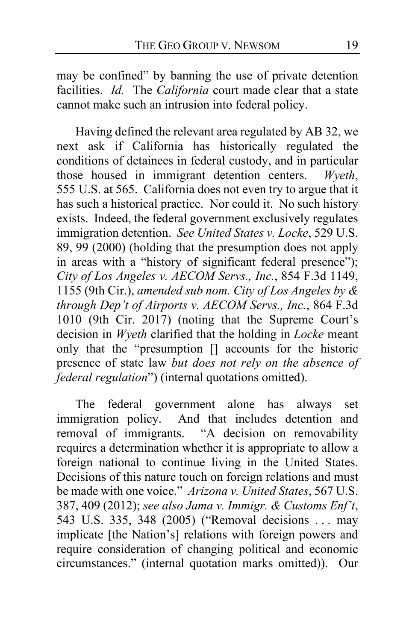may be confined" by banning the use of private detention facilities. *Id.* The *California* court made clear that a state cannot make such an intrusion into federal policy.

Having defined the relevant area regulated by AB 32, we next ask if California has historically regulated the conditions of detainees in federal custody, and in particular those housed in immigrant detention centers. *Wyeth*, 555 U.S. at 565. California does not even try to argue that it has such a historical practice. Nor could it. No such history exists. Indeed, the federal government exclusively regulates immigration detention. *See United States v. Locke*, 529 U.S. 89, 99 (2000) (holding that the presumption does not apply in areas with a "history of significant federal presence"); *City of Los Angeles v. AECOM Servs., Inc.*, 854 F.3d 1149, 1155 (9th Cir.), *amended sub nom. City of Los Angeles by & through Dep't of Airports v. AECOM Servs., Inc.*, 864 F.3d 1010 (9th Cir. 2017) (noting that the Supreme Court's decision in *Wyeth* clarified that the holding in *Locke* meant only that the "presumption [] accounts for the historic presence of state law *but does not rely on the absence of federal regulation*") (internal quotations omitted).

The federal government alone has always set immigration policy. And that includes detention and removal of immigrants. "A decision on removability requires a determination whether it is appropriate to allow a foreign national to continue living in the United States. Decisions of this nature touch on foreign relations and must be made with one voice." *Arizona v. United States*, 567 U.S. 387, 409 (2012); *see also Jama v. Immigr. & Customs Enf't*, 543 U.S. 335, 348 (2005) ("Removal decisions . . . may implicate [the Nation's] relations with foreign powers and require consideration of changing political and economic circumstances." (internal quotation marks omitted)). Our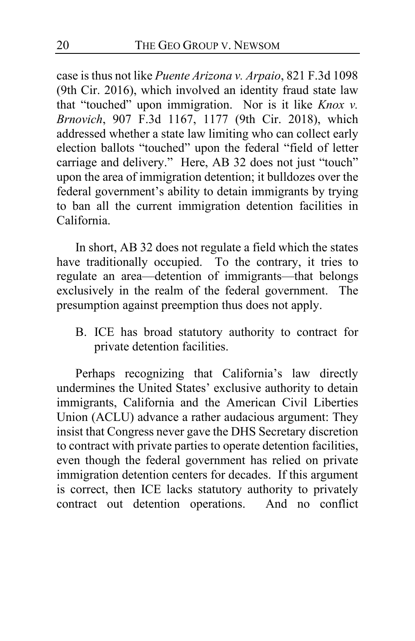case is thus not like *Puente Arizona v. Arpaio*, 821 F.3d 1098 (9th Cir. 2016), which involved an identity fraud state law that "touched" upon immigration. Nor is it like *Knox v. Brnovich*, 907 F.3d 1167, 1177 (9th Cir. 2018), which addressed whether a state law limiting who can collect early election ballots "touched" upon the federal "field of letter carriage and delivery." Here, AB 32 does not just "touch" upon the area of immigration detention; it bulldozes over the federal government's ability to detain immigrants by trying to ban all the current immigration detention facilities in California.

In short, AB 32 does not regulate a field which the states have traditionally occupied. To the contrary, it tries to regulate an area—detention of immigrants—that belongs exclusively in the realm of the federal government. The presumption against preemption thus does not apply.

<span id="page-19-0"></span>B. ICE has broad statutory authority to contract for private detention facilities.

Perhaps recognizing that California's law directly undermines the United States' exclusive authority to detain immigrants, California and the American Civil Liberties Union (ACLU) advance a rather audacious argument: They insist that Congress never gave the DHS Secretary discretion to contract with private parties to operate detention facilities, even though the federal government has relied on private immigration detention centers for decades. If this argument is correct, then ICE lacks statutory authority to privately contract out detention operations. And no conflict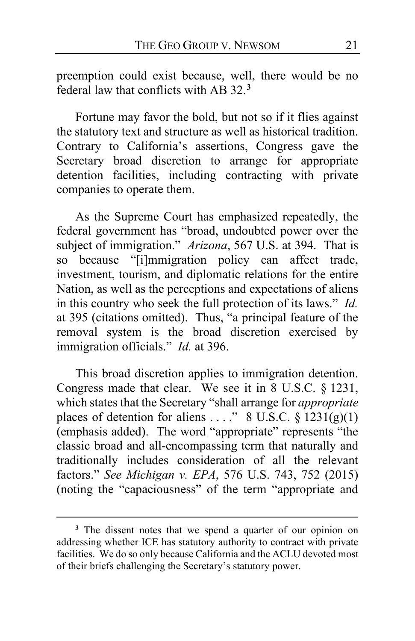preemption could exist because, well, there would be no federal law that conflicts with AB 32.**[3](#page-20-0)**

Fortune may favor the bold, but not so if it flies against the statutory text and structure as well as historical tradition. Contrary to California's assertions, Congress gave the Secretary broad discretion to arrange for appropriate detention facilities, including contracting with private companies to operate them.

As the Supreme Court has emphasized repeatedly, the federal government has "broad, undoubted power over the subject of immigration." *Arizona*, 567 U.S. at 394. That is so because "[i]mmigration policy can affect trade, investment, tourism, and diplomatic relations for the entire Nation, as well as the perceptions and expectations of aliens in this country who seek the full protection of its laws." *Id.*  at 395 (citations omitted). Thus, "a principal feature of the removal system is the broad discretion exercised by immigration officials." *Id.* at 396.

This broad discretion applies to immigration detention. Congress made that clear. We see it in 8 U.S.C. § 1231, which states that the Secretary "shall arrange for *appropriate* places of detention for aliens ...." 8 U.S.C.  $\frac{1}{2}$  1231(g)(1) (emphasis added). The word "appropriate" represents "the classic broad and all-encompassing term that naturally and traditionally includes consideration of all the relevant factors." *See Michigan v. EPA*, 576 U.S. 743, 752 (2015) (noting the "capaciousness" of the term "appropriate and

<span id="page-20-0"></span>**<sup>3</sup>** The dissent notes that we spend a quarter of our opinion on addressing whether ICE has statutory authority to contract with private facilities. We do so only because California and the ACLU devoted most of their briefs challenging the Secretary's statutory power.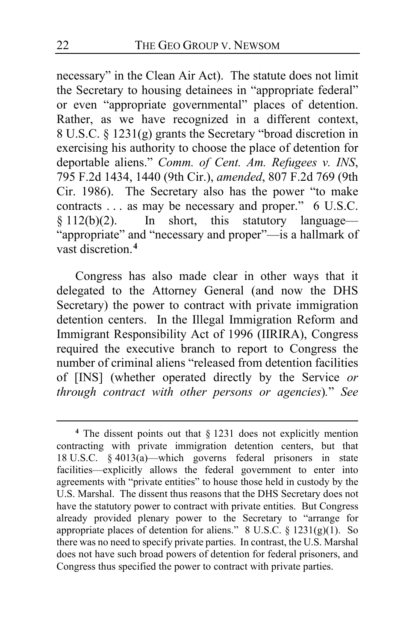necessary" in the Clean Air Act). The statute does not limit the Secretary to housing detainees in "appropriate federal" or even "appropriate governmental" places of detention. Rather, as we have recognized in a different context, 8 U.S.C. § 1231(g) grants the Secretary "broad discretion in exercising his authority to choose the place of detention for deportable aliens." *Comm. of Cent. Am. Refugees v. INS*, 795 F.2d 1434, 1440 (9th Cir.), *amended*, 807 F.2d 769 (9th Cir. 1986). The Secretary also has the power "to make contracts . . . as may be necessary and proper." 6 U.S.C. § 112(b)(2). In short, this statutory language— "appropriate" and "necessary and proper"—is a hallmark of vast discretion.**[4](#page-21-0)**

Congress has also made clear in other ways that it delegated to the Attorney General (and now the DHS Secretary) the power to contract with private immigration detention centers. In the Illegal Immigration Reform and Immigrant Responsibility Act of 1996 (IIRIRA), Congress required the executive branch to report to Congress the number of criminal aliens "released from detention facilities of [INS] (whether operated directly by the Service *or through contract with other persons or agencies*)*.*" *See*

<span id="page-21-0"></span>**<sup>4</sup>** The dissent points out that § 1231 does not explicitly mention contracting with private immigration detention centers, but that 18 U.S.C. § 4013(a)—which governs federal prisoners in state facilities—explicitly allows the federal government to enter into agreements with "private entities" to house those held in custody by the U.S. Marshal. The dissent thus reasons that the DHS Secretary does not have the statutory power to contract with private entities. But Congress already provided plenary power to the Secretary to "arrange for appropriate places of detention for aliens."  $8 \text{ U.S.C.} \$   $1231(g)(1)$ . So there was no need to specify private parties. In contrast, the U.S. Marshal does not have such broad powers of detention for federal prisoners, and Congress thus specified the power to contract with private parties.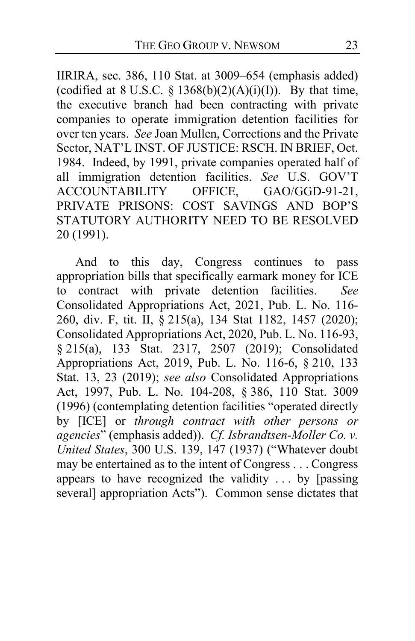IIRIRA, sec. 386, 110 Stat. at 3009–654 (emphasis added) (codified at 8 U.S.C.  $\S$  1368(b)(2)(A)(i)(I)). By that time, the executive branch had been contracting with private companies to operate immigration detention facilities for over ten years. *See* Joan Mullen, Corrections and the Private Sector, NAT'L INST. OF JUSTICE: RSCH. IN BRIEF, Oct. 1984. Indeed, by 1991, private companies operated half of all immigration detention facilities. *See* U.S. GOV'T<br>ACCOUNTABILITY OFFICE, GAO/GGD-91-21, ACCOUNTABILITY PRIVATE PRISONS: COST SAVINGS AND BOP'S STATUTORY AUTHORITY NEED TO BE RESOLVED 20 (1991).

And to this day, Congress continues to pass appropriation bills that specifically earmark money for ICE to contract with private detention facilities. *See*  Consolidated Appropriations Act, 2021, Pub. L. No. 116- 260, div. F, tit. II, § 215(a), 134 Stat 1182, 1457 (2020); Consolidated Appropriations Act, 2020, Pub. L. No. 116-93, § 215(a), 133 Stat. 2317, 2507 (2019); Consolidated Appropriations Act, 2019, Pub. L. No. 116-6, § 210, 133 Stat. 13, 23 (2019); *see also* Consolidated Appropriations Act, 1997, Pub. L. No. 104-208, § 386, 110 Stat. 3009 (1996) (contemplating detention facilities "operated directly by [ICE] or *through contract with other persons or agencies*" (emphasis added)). *Cf. Isbrandtsen-Moller Co. v. United States*, 300 U.S. 139, 147 (1937) ("Whatever doubt may be entertained as to the intent of Congress . . . Congress appears to have recognized the validity  $\ldots$  by [passing] several] appropriation Acts"). Common sense dictates that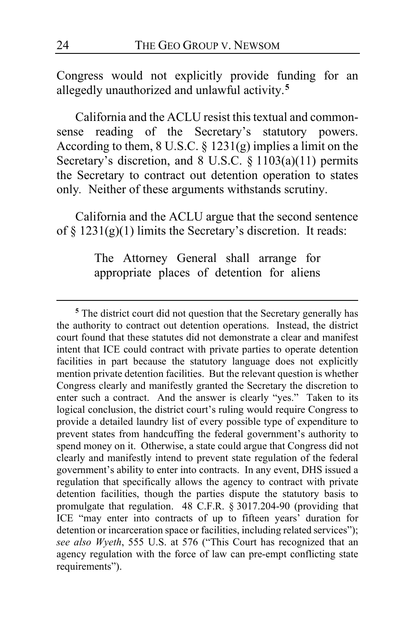Congress would not explicitly provide funding for an allegedly unauthorized and unlawful activity.**[5](#page-23-0)**

California and the ACLU resist this textual and commonsense reading of the Secretary's statutory powers. According to them, 8 U.S.C. § 1231(g) implies a limit on the Secretary's discretion, and 8 U.S.C. § 1103(a)(11) permits the Secretary to contract out detention operation to states only*.* Neither of these arguments withstands scrutiny.

California and the ACLU argue that the second sentence of  $\S$  1231(g)(1) limits the Secretary's discretion. It reads:

> The [Attorney General](https://www.law.cornell.edu/definitions/uscode.php?width=840&height=800&iframe=true&def_id=8-USC-133271130-1485256779&term_occur=999&term_src=) shall arrange for appropriate places of detention for [aliens](https://www.law.cornell.edu/definitions/uscode.php?width=840&height=800&iframe=true&def_id=8-USC-92903111-1485256781&term_occur=999&term_src=)

<span id="page-23-0"></span>**<sup>5</sup>** The district court did not question that the Secretary generally has the authority to contract out detention operations. Instead, the district court found that these statutes did not demonstrate a clear and manifest intent that ICE could contract with private parties to operate detention facilities in part because the statutory language does not explicitly mention private detention facilities. But the relevant question is whether Congress clearly and manifestly granted the Secretary the discretion to enter such a contract. And the answer is clearly "yes." Taken to its logical conclusion, the district court's ruling would require Congress to provide a detailed laundry list of every possible type of expenditure to prevent states from handcuffing the federal government's authority to spend money on it. Otherwise, a state could argue that Congress did not clearly and manifestly intend to prevent state regulation of the federal government's ability to enter into contracts. In any event, DHS issued a regulation that specifically allows the agency to contract with private detention facilities, though the parties dispute the statutory basis to promulgate that regulation. 48 C.F.R. § 3017.204-90 (providing that ICE "may enter into contracts of up to fifteen years' duration for detention or incarceration space or facilities, including related services"); *see also Wyeth*, 555 U.S. at 576 ("This Court has recognized that an agency regulation with the force of law can pre-empt conflicting state requirements").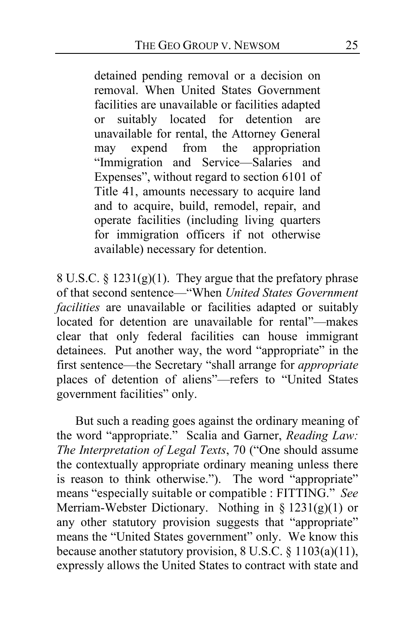detained pending removal or a decision on removal. When [United States](https://www.law.cornell.edu/definitions/uscode.php?width=840&height=800&iframe=true&def_id=8-USC-2032517217-1201680101&term_occur=999&term_src=) Government facilities are unavailable or facilities adapted or suitably located for detention are unavailable for rental, the [Attorney General](https://www.law.cornell.edu/definitions/uscode.php?width=840&height=800&iframe=true&def_id=8-USC-133271130-1485256779&term_occur=999&term_src=) may expend from the appropriation "Immigration and Service—Salaries and Expenses", without regard to [section 6101 of](https://www.law.cornell.edu/uscode/text/41/6101)  [Title 41,](https://www.law.cornell.edu/uscode/text/41/6101) amounts necessary to acquire land and to acquire, build, remodel, repair, and operate facilities (including living quarters for [immigration officers](https://www.law.cornell.edu/definitions/uscode.php?width=840&height=800&iframe=true&def_id=8-USC-717612480-1201680039&term_occur=999&term_src=title:8:chapter:12:subchapter:II:part:IV:section:1231) if not otherwise available) necessary for detention.

8 U.S.C.  $\S 1231(g)(1)$ . They argue that the prefatory phrase of that second sentence—"When *United States Government facilities* are unavailable or facilities adapted or suitably located for detention are unavailable for rental"—makes clear that only federal facilities can house immigrant detainees. Put another way, the word "appropriate" in the first sentence—the Secretary "shall arrange for *appropriate* places of detention of aliens"—refers to "United States government facilities" only.

But such a reading goes against the ordinary meaning of the word "appropriate." Scalia and Garner, *Reading Law: The Interpretation of Legal Texts*, 70 ("One should assume the contextually appropriate ordinary meaning unless there is reason to think otherwise."). The word "appropriate" means "especially suitable or [compatible](https://www.merriam-webster.com/dictionary/compatible#h1) : [FITTING.](https://www.merriam-webster.com/dictionary/fitting#h1)" *See*  Merriam-Webster Dictionary. Nothing in § 1231(g)(1) or any other statutory provision suggests that "appropriate" means the "United States government" only. We know this because another statutory provision, 8 U.S.C. § 1103(a)(11), expressly allows the United States to contract with state and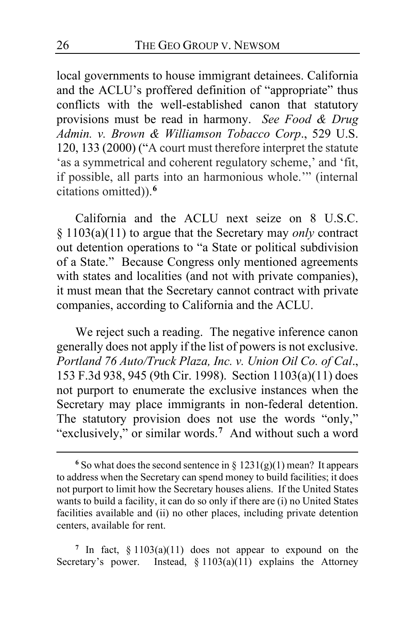local governments to house immigrant detainees. California and the ACLU's proffered definition of "appropriate" thus conflicts with the well-established canon that statutory provisions must be read in harmony. *See Food & Drug Admin. v. Brown & Williamson Tobacco Corp*., 529 U.S. 120, 133 (2000) ("A court must therefore interpret the statute 'as a symmetrical and coherent regulatory scheme,' and 'fit, if possible, all parts into an harmonious whole.'" (internal citations omitted)).**[6](#page-25-0)**

California and the ACLU next seize on 8 U.S.C. § 1103(a)(11) to argue that the Secretary may *only* contract out detention operations to "a State or political subdivision of a State." Because Congress only mentioned agreements with states and localities (and not with private companies), it must mean that the Secretary cannot contract with private companies, according to California and the ACLU.

We reject such a reading. The negative inference canon generally does not apply if the list of powers is not exclusive. *Portland 76 Auto/Truck Plaza, Inc. v. Union Oil Co. of Cal*., 153 F.3d 938, 945 (9th Cir. 1998). Section 1103(a)(11) does not purport to enumerate the exclusive instances when the Secretary may place immigrants in non-federal detention. The statutory provision does not use the words "only," "exclusively," or similar words.**[7](#page-25-1)** And without such a word

<span id="page-25-1"></span><sup>7</sup> In fact,  $\S 1103(a)(11)$  does not appear to expound on the Secretary's power. Instead,  $§ 1103(a)(11)$  explains the Attorney

<span id="page-25-0"></span><sup>&</sup>lt;sup>6</sup> So what does the second sentence in  $\S 1231(g)(1)$  mean? It appears to address when the Secretary can spend money to build facilities; it does not purport to limit how the Secretary houses aliens. If the United States wants to build a facility, it can do so only if there are (i) no United States facilities available and (ii) no other places, including private detention centers, available for rent.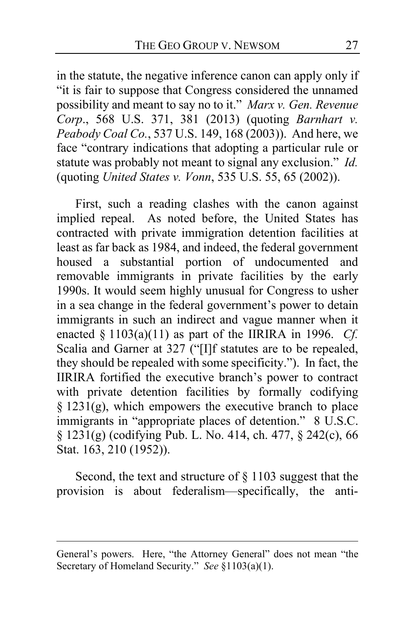in the statute, the negative inference canon can apply only if "it is fair to suppose that Congress considered the unnamed possibility and meant to say no to it." *Marx v. Gen. Revenue Corp*., 568 U.S. 371, 381 (2013) (quoting *Barnhart v. Peabody Coal Co.*, 537 U.S. 149, 168 (2003)). And here, we face "contrary indications that adopting a particular rule or statute was probably not meant to signal any exclusion." *Id.* (quoting *United States v. Vonn*, 535 U.S. 55, 65 (2002)).

First, such a reading clashes with the canon against implied repeal. As noted before, the United States has contracted with private immigration detention facilities at least as far back as 1984, and indeed, the federal government housed a substantial portion of undocumented and removable immigrants in private facilities by the early 1990s. It would seem highly unusual for Congress to usher in a sea change in the federal government's power to detain immigrants in such an indirect and vague manner when it enacted § 1103(a)(11) as part of the IIRIRA in 1996. *Cf.*  Scalia and Garner at 327 ("[I]f statutes are to be repealed, they should be repealed with some specificity."). In fact, the IIRIRA fortified the executive branch's power to contract with private detention facilities by formally codifying  $§$  1231(g), which empowers the executive branch to place immigrants in "appropriate places of detention." 8 U.S.C. § 1231(g) (codifying Pub. L. No. 414, ch. 477, § 242(c), 66 Stat. 163, 210 (1952)).

Second, the text and structure of § 1103 suggest that the provision is about federalism—specifically, the anti-

General's powers. Here, "the Attorney General" does not mean "the Secretary of Homeland Security." *See* §1103(a)(1).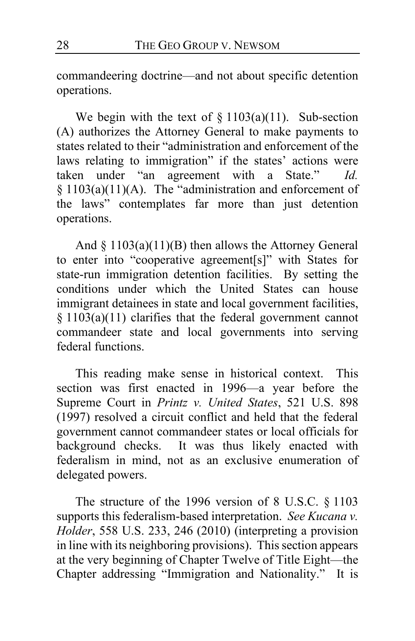commandeering doctrine—and not about specific detention operations.

We begin with the text of  $\S 1103(a)(11)$ . Sub-section (A) authorizes the Attorney General to make payments to states related to their "administration and enforcement of the laws relating to immigration" if the states' actions were taken under "an agreement with a State." *Id.* § 1103(a)(11)(A). The "administration and enforcement of the laws" contemplates far more than just detention operations.

And  $\S$  1103(a)(11)(B) then allows the Attorney General to enter into "cooperative agreement[s]" with States for state-run immigration detention facilities. By setting the conditions under which the United States can house immigrant detainees in state and local government facilities, § 1103(a)(11) clarifies that the federal government cannot commandeer state and local governments into serving federal functions.

This reading make sense in historical context. This section was first enacted in 1996—a year before the Supreme Court in *Printz v. United States*, 521 U.S. 898 (1997) resolved a circuit conflict and held that the federal government cannot commandeer states or local officials for background checks. It was thus likely enacted with federalism in mind, not as an exclusive enumeration of delegated powers.

The structure of the 1996 version of 8 U.S.C. § 1103 supports this federalism-based interpretation. *See Kucana v. Holder*, 558 U.S. 233, 246 (2010) (interpreting a provision in line with its neighboring provisions). This section appears at the very beginning of Chapter Twelve of Title Eight—the Chapter addressing "Immigration and Nationality." It is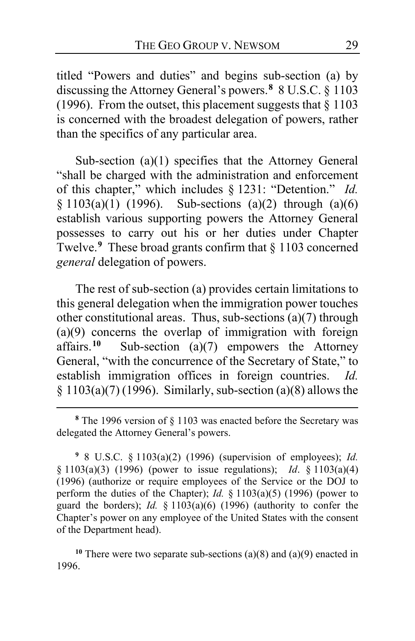titled "Powers and duties" and begins sub-section (a) by discussing the Attorney General's powers.**[8](#page-28-0)** 8 U.S.C. § 1103 (1996). From the outset, this placement suggests that  $\frac{8}{9}$  1103 is concerned with the broadest delegation of powers, rather than the specifics of any particular area.

Sub-section (a)(1) specifies that the Attorney General "shall be charged with the administration and enforcement of this chapter," which includes § 1231: "Detention." *Id.*  $§ 1103(a)(1)$  (1996). Sub-sections (a)(2) through (a)(6) establish various supporting powers the Attorney General possesses to carry out his or her duties under Chapter Twelve.**[9](#page-28-1)** These broad grants confirm that § 1103 concerned *general* delegation of powers.

The rest of sub-section (a) provides certain limitations to this general delegation when the immigration power touches other constitutional areas. Thus, sub-sections  $(a)(7)$  through (a)(9) concerns the overlap of immigration with foreign affairs.<sup>10</sup> Sub-section (a)(7) empowers the Attorney Sub-section  $(a)(7)$  empowers the Attorney General, "with the concurrence of the Secretary of State," to establish immigration offices in foreign countries. *Id.*  $§ 1103(a)(7) (1996)$ . Similarly, sub-section (a)(8) allows the

<span id="page-28-1"></span>**<sup>9</sup>** 8 U.S.C. § 1103(a)(2) (1996) (supervision of employees); *Id.* § 1103(a)(3) (1996) (power to issue regulations); *Id*. § 1103(a)(4) (1996) (authorize or require employees of the Service or the DOJ to perform the duties of the Chapter); *Id.* § 1103(a)(5) (1996) (power to guard the borders); *Id.* § 1103(a)(6) (1996) (authority to confer the Chapter's power on any employee of the United States with the consent of the Department head).

<span id="page-28-2"></span>**<sup>10</sup>** There were two separate sub-sections (a)(8) and (a)(9) enacted in 1996.

<span id="page-28-0"></span>**<sup>8</sup>** The 1996 version of § 1103 was enacted before the Secretary was delegated the Attorney General's powers.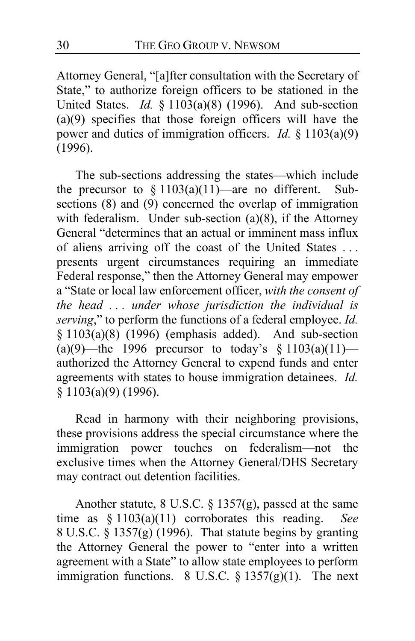Attorney General, "[a]fter consultation with the Secretary of State," to authorize foreign officers to be stationed in the United States. *Id.* § 1103(a)(8) (1996). And sub-section (a)(9) specifies that those foreign officers will have the power and duties of immigration officers. *Id.* § 1103(a)(9) (1996).

The sub-sections addressing the states—which include the precursor to  $\S 1103(a)(11)$ —are no different. Subsections (8) and (9) concerned the overlap of immigration with federalism. Under sub-section  $(a)(8)$ , if the Attorney General "determines that an actual or imminent mass influx of aliens arriving off the coast of the United States . . . presents urgent circumstances requiring an immediate Federal response," then the Attorney General may empower a "State or local law enforcement officer, *with the consent of the head . . . under whose jurisdiction the individual is serving*," to perform the functions of a federal employee. *Id.*  $§ 1103(a)(8)$  (1996) (emphasis added). And sub-section  $(a)(9)$ —the 1996 precursor to today's § 1103(a)(11) authorized the Attorney General to expend funds and enter agreements with states to house immigration detainees. *Id.* § 1103(a)(9) (1996).

Read in harmony with their neighboring provisions, these provisions address the special circumstance where the immigration power touches on federalism—not the exclusive times when the Attorney General/DHS Secretary may contract out detention facilities.

Another statute, 8 U.S.C. § 1357(g), passed at the same time as § 1103(a)(11) corroborates this reading. *See*  8 U.S.C. § 1357(g) (1996). That statute begins by granting the Attorney General the power to "enter into a written agreement with a State" to allow state employees to perform immigration functions. 8 U.S.C.  $\S 1357(g)(1)$ . The next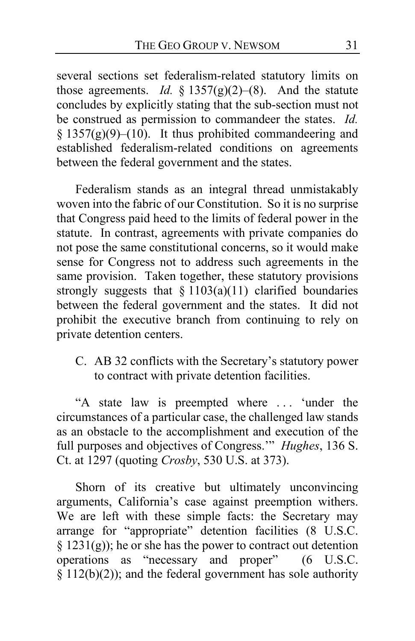several sections set federalism-related statutory limits on those agreements. *Id.*  $\S$  1357(g)(2)–(8). And the statute concludes by explicitly stating that the sub-section must not be construed as permission to commandeer the states. *Id.*  §  $1357(g)(9)–(10)$ . It thus prohibited commandeering and established federalism-related conditions on agreements between the federal government and the states.

Federalism stands as an integral thread unmistakably woven into the fabric of our Constitution. So it is no surprise that Congress paid heed to the limits of federal power in the statute. In contrast, agreements with private companies do not pose the same constitutional concerns, so it would make sense for Congress not to address such agreements in the same provision. Taken together, these statutory provisions strongly suggests that  $\S 1103(a)(11)$  clarified boundaries between the federal government and the states. It did not prohibit the executive branch from continuing to rely on private detention centers.

<span id="page-30-0"></span>C. AB 32 conflicts with the Secretary's statutory power to contract with private detention facilities.

"A state law is preempted where . . . 'under the circumstances of a particular case, the challenged law stands as an obstacle to the accomplishment and execution of the full purposes and objectives of Congress.'" *Hughes*, 136 S. Ct. at 1297 (quoting *Crosby*, 530 U.S. at 373).

Shorn of its creative but ultimately unconvincing arguments, California's case against preemption withers. We are left with these simple facts: the Secretary may arrange for "appropriate" detention facilities (8 U.S.C.  $\S$  1231(g)); he or she has the power to contract out detention operations as "necessary and proper" (6 U.S.C.  $\frac{\S}{\S}$  112(b)(2)); and the federal government has sole authority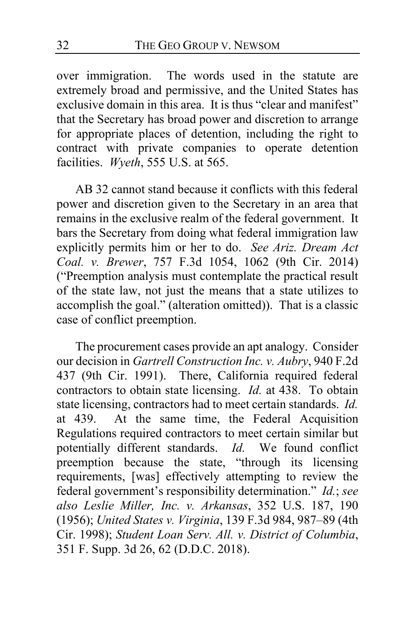over immigration. The words used in the statute are extremely broad and permissive, and the United States has exclusive domain in this area. It is thus "clear and manifest" that the Secretary has broad power and discretion to arrange for appropriate places of detention, including the right to contract with private companies to operate detention facilities. *Wyeth*, 555 U.S. at 565.

<span id="page-31-0"></span>AB 32 cannot stand because it conflicts with this federal power and discretion given to the Secretary in an area that remains in the exclusive realm of the federal government. It bars the Secretary from doing what federal immigration law explicitly permits him or her to do. *See Ariz. Dream Act Coal. v. Brewer*, 757 F.3d 1054, 1062 (9th Cir. 2014) ("Preemption analysis must contemplate the practical result of the state law, not just the means that a state utilizes to accomplish the goal." (alteration omitted)). That is a classic case of conflict preemption.

<span id="page-31-1"></span>The procurement cases provide an apt analogy. Consider our decision in *Gartrell Construction Inc. v. Aubry*, 940 F.2d 437 (9th Cir. 1991). There, California required federal contractors to obtain state licensing. *Id.* at 438. To obtain state licensing, contractors had to meet certain standards. *Id.* at 439. At the same time, the Federal Acquisition Regulations required contractors to meet certain similar but potentially different standards. *Id.* We found conflict preemption because the state, "through its licensing requirements, [was] effectively attempting to review the federal government's responsibility determination." *Id.*; *see also Leslie Miller, Inc. v. Arkansas*, 352 U.S. 187, 190 (1956); *United States v. Virginia*, 139 F.3d 984, 987–89 (4th Cir. 1998); *Student Loan Serv. All. v. District of Columbia*, 351 F. Supp. 3d 26, 62 (D.D.C. 2018).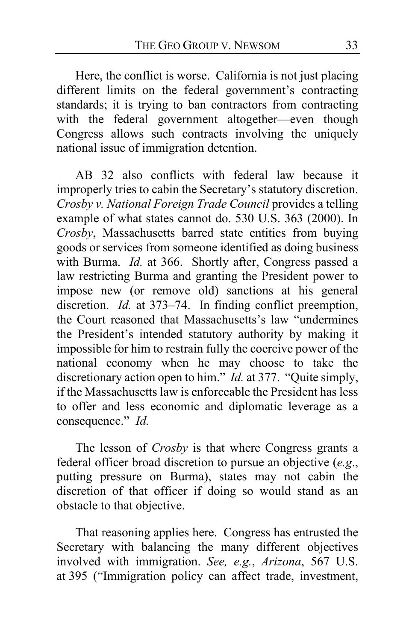Here, the conflict is worse. California is not just placing different limits on the federal government's contracting standards; it is trying to ban contractors from contracting with the federal government altogether—even though Congress allows such contracts involving the uniquely national issue of immigration detention.

AB 32 also conflicts with federal law because it improperly tries to cabin the Secretary's statutory discretion. *Crosby v. National Foreign Trade Council* provides a telling example of what states cannot do. 530 U.S. 363 (2000). In *Crosby*, Massachusetts barred state entities from buying goods or services from someone identified as doing business with Burma. *Id.* at 366. Shortly after, Congress passed a law restricting Burma and granting the President power to impose new (or remove old) sanctions at his general discretion. *Id.* at 373–74. In finding conflict preemption, the Court reasoned that Massachusetts's law "undermines the President's intended statutory authority by making it impossible for him to restrain fully the coercive power of the national economy when he may choose to take the discretionary action open to him." *Id.* at 377. "Quite simply, if the Massachusetts law is enforceable the President has less to offer and less economic and diplomatic leverage as a consequence." *Id.*

The lesson of *Crosby* is that where Congress grants a federal officer broad discretion to pursue an objective (*e.g*., putting pressure on Burma), states may not cabin the discretion of that officer if doing so would stand as an obstacle to that objective.

That reasoning applies here. Congress has entrusted the Secretary with balancing the many different objectives involved with immigration. *See, e.g.*, *Arizona*, 567 U.S. at 395 ("Immigration policy can affect trade, investment,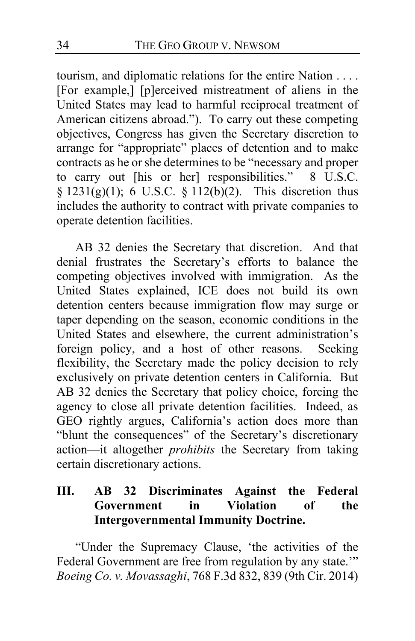tourism, and diplomatic relations for the entire Nation . . . . [For example,] [p]erceived mistreatment of aliens in the United States may lead to harmful reciprocal treatment of American citizens abroad."). To carry out these competing objectives, Congress has given the Secretary discretion to arrange for "appropriate" places of detention and to make contracts as he or she determines to be "necessary and proper to carry out [his or her] responsibilities." 8 U.S.C. §  $1231(g)(1)$ ; 6 U.S.C. §  $112(b)(2)$ . This discretion thus includes the authority to contract with private companies to operate detention facilities.

AB 32 denies the Secretary that discretion. And that denial frustrates the Secretary's efforts to balance the competing objectives involved with immigration. As the United States explained, ICE does not build its own detention centers because immigration flow may surge or taper depending on the season, economic conditions in the United States and elsewhere, the current administration's foreign policy, and a host of other reasons. Seeking flexibility, the Secretary made the policy decision to rely exclusively on private detention centers in California. But AB 32 denies the Secretary that policy choice, forcing the agency to close all private detention facilities. Indeed, as GEO rightly argues, California's action does more than "blunt the consequences" of the Secretary's discretionary action—it altogether *prohibits* the Secretary from taking certain discretionary actions.

# **III. AB 32 Discriminates Against the Federal Government in Violation of the Intergovernmental Immunity Doctrine.**

"Under the Supremacy Clause, 'the activities of the Federal Government are free from regulation by any state."" *Boeing Co. v. Movassaghi*, 768 F.3d 832, 839 (9th Cir. 2014)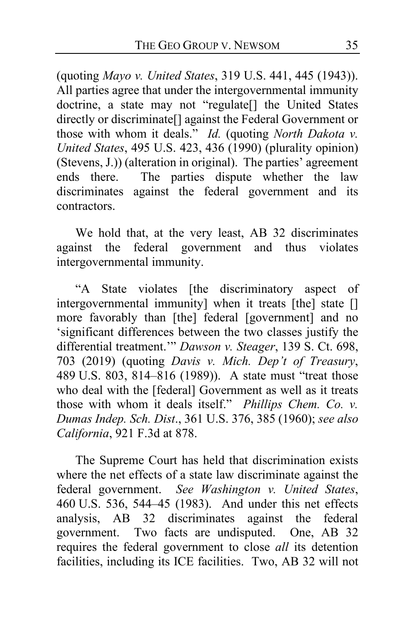(quoting *Mayo v. United States*, 319 U.S. 441, 445 (1943)). All parties agree that under the intergovernmental immunity doctrine, a state may not "regulate[] the United States directly or discriminate[] against the Federal Government or those with whom it deals." *Id.* (quoting *North Dakota v. United States*, 495 U.S. 423, 436 (1990) (plurality opinion) (Stevens, J.)) (alteration in original). The parties' agreement ends there. The parties dispute whether the law discriminates against the federal government and its contractors.

We hold that, at the very least, AB 32 discriminates against the federal government and thus violates intergovernmental immunity.

"A State violates [the discriminatory aspect of intergovernmental immunity] when it treats [the] state [] more favorably than [the] federal [government] and no 'significant differences between the two classes justify the differential treatment.'" *Dawson v. Steager*, 139 S. Ct. 698, 703 (2019) (quoting *Davis v. Mich. Dep't of Treasury*, 489 U.S. 803, 814–816 (1989)). A state must "treat those who deal with the [federal] Government as well as it treats those with whom it deals itself." *Phillips Chem. Co. v. Dumas Indep. Sch. Dist*., 361 U.S. 376, 385 (1960); *see also California*, 921 F.3d at 878.

<span id="page-34-0"></span>The Supreme Court has held that discrimination exists where the net effects of a state law discriminate against the federal government. *See Washington v. United States*, 460 U.S. 536, 544–45 (1983). And under this net effects analysis, AB 32 discriminates against the federal government. Two facts are undisputed. One, AB 32 requires the federal government to close *all* its detention facilities, including its ICE facilities. Two, AB 32 will not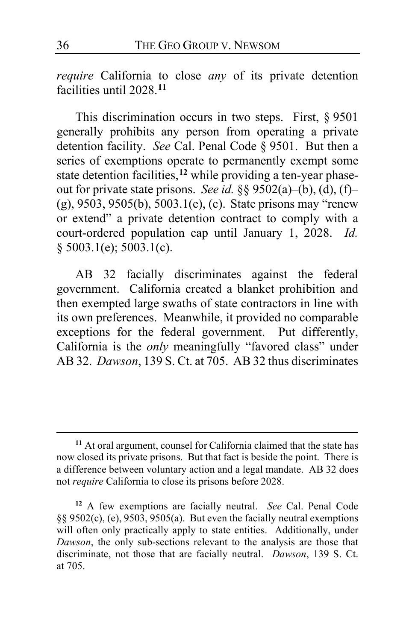*require* California to close *any* of its private detention facilities until 2028.**[11](#page-35-0)**

This discrimination occurs in two steps. First, § 9501 generally prohibits any person from operating a private detention facility. *See* Cal. Penal Code § 9501. But then a series of exemptions operate to permanently exempt some state detention facilities,**[12](#page-35-1)** while providing a ten-year phaseout for private state prisons. *See id.* §§ 9502(a)–(b), (d), (f)– (g), 9503, 9505(b), 5003.1(e), (c). State prisons may "renew or extend" a private detention contract to comply with a court-ordered population cap until January 1, 2028. *Id.* § 5003.1(e); 5003.1(c).

<span id="page-35-3"></span>AB 32 facially discriminates against the federal government. California created a blanket prohibition and then exempted large swaths of state contractors in line with its own preferences. Meanwhile, it provided no comparable exceptions for the federal government. Put differently, California is the *only* meaningfully "favored class" under AB 32. *Dawson*, 139 S. Ct. at 705. AB 32 thus discriminates

<span id="page-35-2"></span><span id="page-35-0"></span>**<sup>11</sup>** At oral argument, counsel for California claimed that the state has now closed its private prisons. But that fact is beside the point. There is a difference between voluntary action and a legal mandate. AB 32 does not *require* California to close its prisons before 2028.

<span id="page-35-1"></span>**<sup>12</sup>** A few exemptions are facially neutral. *See* Cal. Penal Code §§ 9502(c), (e), 9503, 9505(a). But even the facially neutral exemptions will often only practically apply to state entities. Additionally, under *Dawson*, the only sub-sections relevant to the analysis are those that discriminate, not those that are facially neutral. *Dawson*, 139 S. Ct. at 705.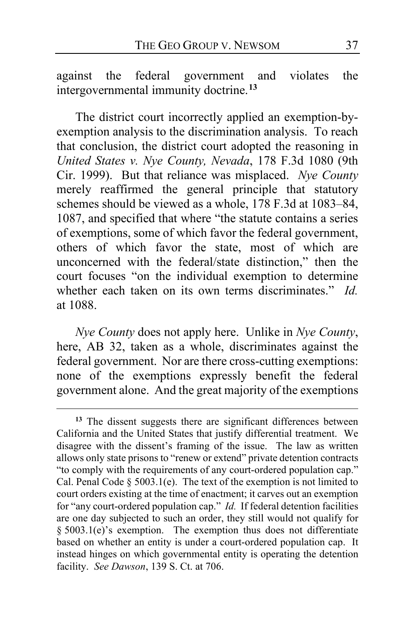<span id="page-36-2"></span>against the federal government and violates the intergovernmental immunity doctrine.**[13](#page-36-0)**

The district court incorrectly applied an exemption-byexemption analysis to the discrimination analysis. To reach that conclusion, the district court adopted the reasoning in *United States v. Nye County, Nevada*, 178 F.3d 1080 (9th Cir. 1999). But that reliance was misplaced. *Nye County*  merely reaffirmed the general principle that statutory schemes should be viewed as a whole, 178 F.3d at 1083–84, 1087, and specified that where "the statute contains a series of exemptions, some of which favor the federal government, others of which favor the state, most of which are unconcerned with the federal/state distinction," then the court focuses "on the individual exemption to determine whether each taken on its own terms discriminates." *Id.* at 1088.

<span id="page-36-1"></span>*Nye County* does not apply here. Unlike in *Nye County*, here, AB 32, taken as a whole, discriminates against the federal government. Nor are there cross-cutting exemptions: none of the exemptions expressly benefit the federal government alone. And the great majority of the exemptions

<span id="page-36-3"></span><span id="page-36-0"></span>**<sup>13</sup>** The dissent suggests there are significant differences between California and the United States that justify differential treatment. We disagree with the dissent's framing of the issue. The law as written allows only state prisons to "renew or extend" private detention contracts "to comply with the requirements of any court-ordered population cap." Cal. Penal Code  $\S$  5003.1(e). The text of the exemption is not limited to court orders existing at the time of enactment; it carves out an exemption for "any court-ordered population cap." *Id.* If federal detention facilities are one day subjected to such an order, they still would not qualify for § 5003.1(e)'s exemption. The exemption thus does not differentiate based on whether an entity is under a court-ordered population cap. It instead hinges on which governmental entity is operating the detention facility. *See Dawson*, 139 S. Ct. at 706.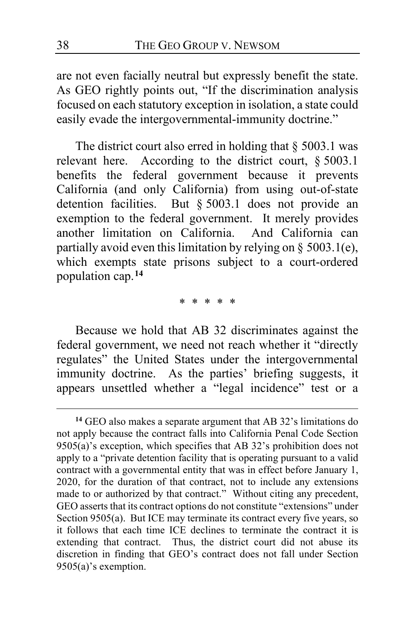are not even facially neutral but expressly benefit the state. As GEO rightly points out, "If the discrimination analysis focused on each statutory exception in isolation, a state could easily evade the intergovernmental-immunity doctrine."

The district court also erred in holding that  $\S$  5003.1 was relevant here. According to the district court, § 5003.1 benefits the federal government because it prevents California (and only California) from using out-of-state detention facilities. But § 5003.1 does not provide an exemption to the federal government. It merely provides another limitation on California. And California can partially avoid even this limitation by relying on § 5003.1(e), which exempts state prisons subject to a court-ordered population cap.**[14](#page-37-0)**

<span id="page-37-1"></span>\* \* \* \* \*

Because we hold that AB 32 discriminates against the federal government, we need not reach whether it "directly regulates" the United States under the intergovernmental immunity doctrine. As the parties' briefing suggests, it appears unsettled whether a "legal incidence" test or a

<span id="page-37-0"></span>**<sup>14</sup>** GEO also makes a separate argument that AB 32's limitations do not apply because the contract falls into California Penal Code Section 9505(a)'s exception, which specifies that AB 32's prohibition does not apply to a "private detention facility that is operating pursuant to a valid contract with a governmental entity that was in effect before January 1, 2020, for the duration of that contract, not to include any extensions made to or authorized by that contract." Without citing any precedent, GEO asserts that its contract options do not constitute "extensions" under Section 9505(a).But ICE may terminate its contract every five years, so it follows that each time ICE declines to terminate the contract it is extending that contract. Thus, the district court did not abuse its discretion in finding that GEO's contract does not fall under Section 9505(a)'s exemption.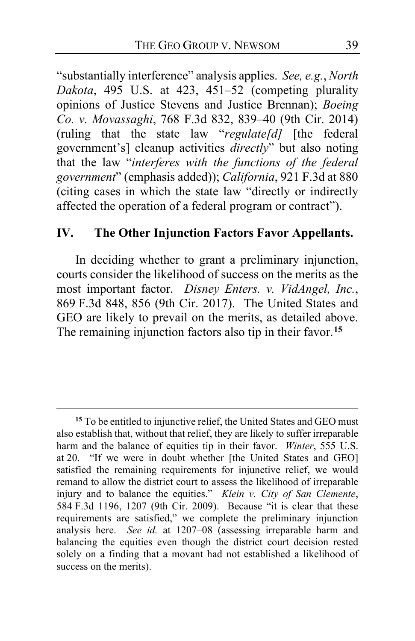"substantially interference" analysis applies. *See, e.g.*, *North Dakota*, 495 U.S. at 423, 451–52 (competing plurality opinions of Justice Stevens and Justice Brennan); *Boeing Co. v. Movassaghi*, 768 F.3d 832, 839–40 (9th Cir. 2014) (ruling that the state law "*regulate[d]* [the federal government's] cleanup activities *directly*" but also noting that the law "*interferes with the functions of the federal government*" (emphasis added)); *California*, 921 F.3d at 880 (citing cases in which the state law "directly or indirectly affected the operation of a federal program or contract").

### **IV. The Other Injunction Factors Favor Appellants.**

In deciding whether to grant a preliminary injunction, courts consider the likelihood of success on the merits as the most important factor. *Disney Enters. v. VidAngel, Inc.*, 869 F.3d 848, 856 (9th Cir. 2017). The United States and GEO are likely to prevail on the merits, as detailed above. The remaining injunction factors also tip in their favor.**[15](#page-38-0)**

<span id="page-38-1"></span><span id="page-38-0"></span>**<sup>15</sup>** To be entitled to injunctive relief, the United States and GEO must also establish that, without that relief, they are likely to suffer irreparable harm and the balance of equities tip in their favor. *Winter*, 555 U.S. at 20. "If we were in doubt whether [the United States and GEO] satisfied the remaining requirements for injunctive relief, we would remand to allow the district court to assess the likelihood of irreparable injury and to balance the equities." *Klein v. City of San Clemente*, 584 F.3d 1196, 1207 (9th Cir. 2009). Because "it is clear that these requirements are satisfied," we complete the preliminary injunction analysis here. *See id.* at 1207–08 (assessing irreparable harm and balancing the equities even though the district court decision rested solely on a finding that a movant had not established a likelihood of success on the merits).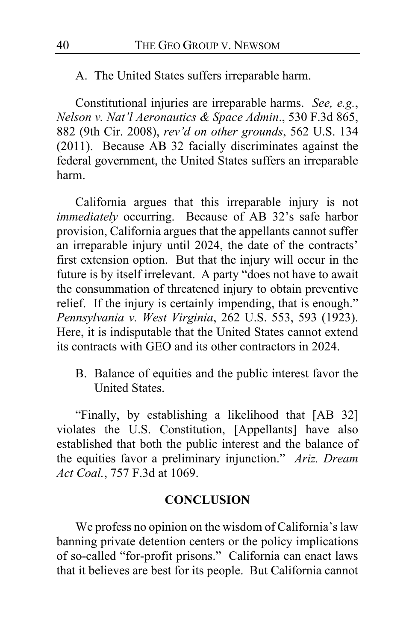A. The United States suffers irreparable harm.

<span id="page-39-1"></span><span id="page-39-0"></span>Constitutional injuries are irreparable harms. *See, e.g.*, *Nelson v. Nat'l Aeronautics & Space Admin*., 530 F.3d 865, 882 (9th Cir. 2008), *rev'd on other grounds*, 562 U.S. 134 (2011). Because AB 32 facially discriminates against the federal government, the United States suffers an irreparable harm.

California argues that this irreparable injury is not *immediately* occurring. Because of AB 32's safe harbor provision, California argues that the appellants cannot suffer an irreparable injury until 2024, the date of the contracts' first extension option. But that the injury will occur in the future is by itself irrelevant. A party "does not have to await the consummation of threatened injury to obtain preventive relief. If the injury is certainly impending, that is enough." *Pennsylvania v. West Virginia*, 262 U.S. 553, 593 (1923). Here, it is indisputable that the United States cannot extend its contracts with GEO and its other contractors in 2024.

B. Balance of equities and the public interest favor the United States.

"Finally, by establishing a likelihood that [AB 32] violates the U.S. Constitution, [Appellants] have also established that both the public interest and the balance of the equities favor a preliminary injunction." *Ariz. Dream Act Coal.*, 757 F.3d at 1069.

#### **CONCLUSION**

We profess no opinion on the wisdom of California's law banning private detention centers or the policy implications of so-called "for-profit prisons." California can enact laws that it believes are best for its people. But California cannot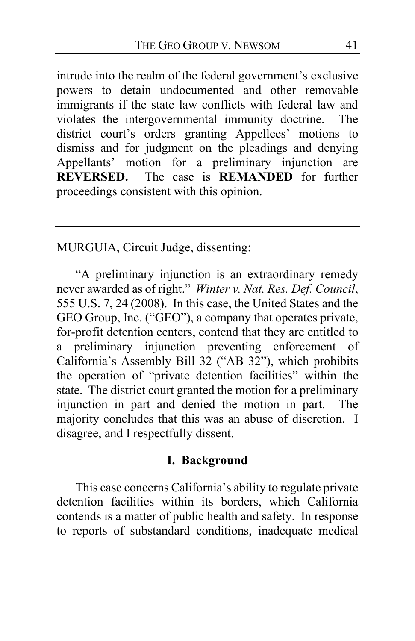intrude into the realm of the federal government's exclusive powers to detain undocumented and other removable immigrants if the state law conflicts with federal law and violates the intergovernmental immunity doctrine. The district court's orders granting Appellees' motions to dismiss and for judgment on the pleadings and denying Appellants' motion for a preliminary injunction are<br>
REVERSED. The case is REMANDED for further The case is **REMANDED** for further proceedings consistent with this opinion.

MURGUIA, Circuit Judge, dissenting:

"A preliminary injunction is an extraordinary remedy never awarded as of right." *Winter v. Nat. Res. Def. Council*, 555 U.S. 7, 24 (2008). In this case, the United States and the GEO Group, Inc. ("GEO"), a company that operates private, for-profit detention centers, contend that they are entitled to a preliminary injunction preventing enforcement of California's Assembly Bill 32 ("AB 32"), which prohibits the operation of "private detention facilities" within the state. The district court granted the motion for a preliminary injunction in part and denied the motion in part. The majority concludes that this was an abuse of discretion. I disagree, and I respectfully dissent.

#### **I. Background**

This case concerns California's ability to regulate private detention facilities within its borders, which California contends is a matter of public health and safety. In response to reports of substandard conditions, inadequate medical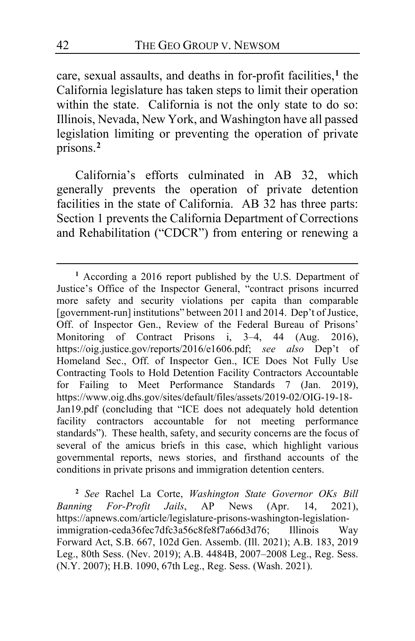care, sexual assaults, and deaths in for-profit facilities,**[1](#page-41-0)** the California legislature has taken steps to limit their operation within the state. California is not the only state to do so: Illinois, Nevada, New York, and Washington have all passed legislation limiting or preventing the operation of private prisons.**[2](#page-41-1)**

California's efforts culminated in AB 32, which generally prevents the operation of private detention facilities in the state of California. AB 32 has three parts: Section 1 prevents the California Department of Corrections and Rehabilitation ("CDCR") from entering or renewing a

<span id="page-41-0"></span>**<sup>1</sup>** According a 2016 report published by the U.S. Department of Justice's Office of the Inspector General, "contract prisons incurred more safety and security violations per capita than comparable [government-run] institutions" between 2011 and 2014.Dep't of Justice, Off. of Inspector Gen., Review of the Federal Bureau of Prisons' Monitoring of Contract Prisons i, 3–4, 44 (Aug. 2016), https://oig.justice.gov/reports/2016/e1606.pdf; *see also* Dep't of Homeland Sec., Off. of Inspector Gen., ICE Does Not Fully Use Contracting Tools to Hold Detention Facility Contractors Accountable for Failing to Meet Performance Standards 7 (Jan. 2019), https://www.oig.dhs.gov/sites/default/files/assets/2019-02/OIG-19-18- Jan19.pdf (concluding that "ICE does not adequately hold detention facility contractors accountable for not meeting performance standards"). These health, safety, and security concerns are the focus of several of the amicus briefs in this case, which highlight various governmental reports, news stories, and firsthand accounts of the conditions in private prisons and immigration detention centers.

<span id="page-41-1"></span>**<sup>2</sup>** *See* Rachel La Corte, *Washington State Governor OKs Bill Banning For-Profit Jails*, AP News (Apr. 14, 2021), https://apnews.com/article/legislature-prisons-washington-legislationimmigration-ceda36fec7dfc3a56c8fe8f7a66d3d76; Illinois Way Forward Act, S.B. 667, 102d Gen. Assemb. (Ill. 2021); A.B. 183, 2019 Leg., 80th Sess. (Nev. 2019); A.B. 4484B, 2007–2008 Leg., Reg. Sess. (N.Y. 2007); H.B. 1090, 67th Leg., Reg. Sess. (Wash. 2021).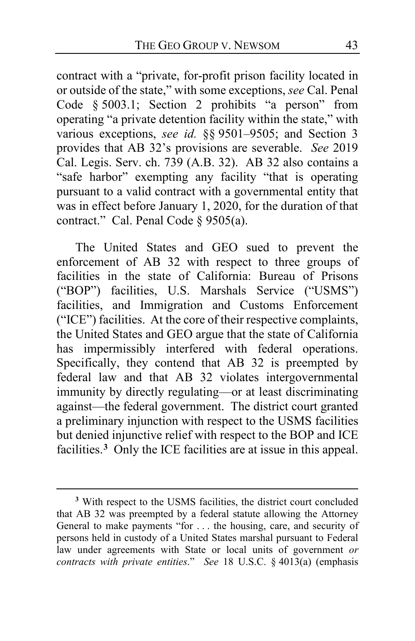contract with a "private, for-profit prison facility located in or outside of the state," with some exceptions, *see* Cal. Penal Code § 5003.1; Section 2 prohibits "a person" from operating "a private detention facility within the state," with various exceptions, *see id.* §§ 9501–9505; and Section 3 provides that AB 32's provisions are severable. *See* 2019 Cal. Legis. Serv. ch. 739 (A.B. 32). AB 32 also contains a "safe harbor" exempting any facility "that is operating pursuant to a valid contract with a governmental entity that was in effect before January 1, 2020, for the duration of that contract." Cal. Penal Code § 9505(a).

The United States and GEO sued to prevent the enforcement of AB 32 with respect to three groups of facilities in the state of California: Bureau of Prisons ("BOP") facilities, U.S. Marshals Service ("USMS") facilities, and Immigration and Customs Enforcement ("ICE") facilities. At the core of their respective complaints, the United States and GEO argue that the state of California has impermissibly interfered with federal operations. Specifically, they contend that AB 32 is preempted by federal law and that AB 32 violates intergovernmental immunity by directly regulating—or at least discriminating against—the federal government. The district court granted a preliminary injunction with respect to the USMS facilities but denied injunctive relief with respect to the BOP and ICE facilities.**[3](#page-42-0)** Only the ICE facilities are at issue in this appeal.

<span id="page-42-0"></span>**<sup>3</sup>** With respect to the USMS facilities, the district court concluded that AB 32 was preempted by a federal statute allowing the Attorney General to make payments "for . . . the housing, care, and security of persons held in custody of a United States marshal pursuant to Federal law under agreements with State or local units of government *or contracts with private entities*." *See* 18 U.S.C. § 4013(a) (emphasis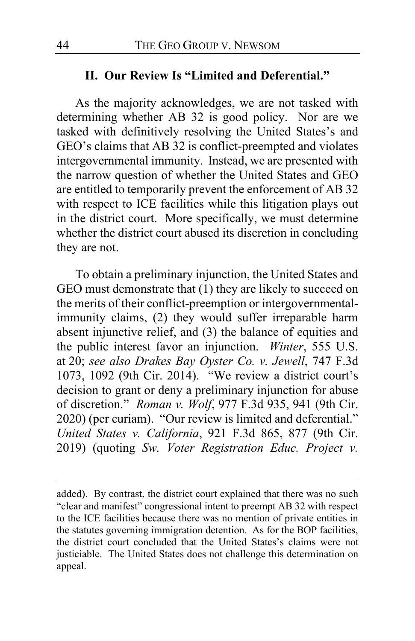#### **II. Our Review Is "Limited and Deferential."**

As the majority acknowledges, we are not tasked with determining whether AB 32 is good policy. Nor are we tasked with definitively resolving the United States's and GEO's claims that AB 32 is conflict-preempted and violates intergovernmental immunity. Instead, we are presented with the narrow question of whether the United States and GEO are entitled to temporarily prevent the enforcement of AB 32 with respect to ICE facilities while this litigation plays out in the district court. More specifically, we must determine whether the district court abused its discretion in concluding they are not.

To obtain a preliminary injunction, the United States and GEO must demonstrate that (1) they are likely to succeed on the merits of their conflict-preemption or intergovernmentalimmunity claims, (2) they would suffer irreparable harm absent injunctive relief, and (3) the balance of equities and the public interest favor an injunction. *Winter*, 555 U.S. at 20; *see also Drakes Bay Oyster Co. v. Jewell*, 747 F.3d 1073, 1092 (9th Cir. 2014). "We review a district court's decision to grant or deny a preliminary injunction for abuse of discretion." *Roman v. Wolf*, 977 F.3d 935, 941 (9th Cir. 2020) (per curiam). "Our review is limited and deferential." *United States v. California*, 921 F.3d 865, 877 (9th Cir. 2019) (quoting *Sw. Voter Registration Educ. Project v.* 

added). By contrast, the district court explained that there was no such "clear and manifest" congressional intent to preempt AB 32 with respect to the ICE facilities because there was no mention of private entities in the statutes governing immigration detention. As for the BOP facilities, the district court concluded that the United States's claims were not justiciable. The United States does not challenge this determination on appeal.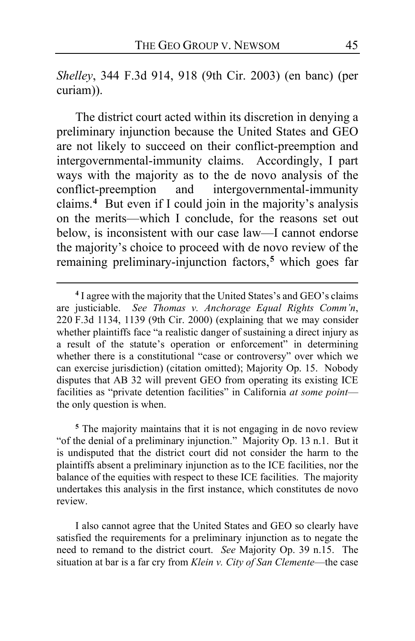*Shelley*, 344 F.3d 914, 918 (9th Cir. 2003) (en banc) (per curiam)).

The district court acted within its discretion in denying a preliminary injunction because the United States and GEO are not likely to succeed on their conflict-preemption and intergovernmental-immunity claims. Accordingly, I part ways with the majority as to the de novo analysis of the conflict-preemption and intergovernmental-immunity claims.**[4](#page-44-0)** But even if I could join in the majority's analysis on the merits—which I conclude, for the reasons set out below, is inconsistent with our case law—I cannot endorse the majority's choice to proceed with de novo review of the remaining preliminary-injunction factors,**[5](#page-44-1)** which goes far

<span id="page-44-1"></span>**<sup>5</sup>** The majority maintains that it is not engaging in de novo review "of the denial of a preliminary injunction." Majority Op. [13](#page-12-1) n.1. But it is undisputed that the district court did not consider the harm to the plaintiffs absent a preliminary injunction as to the ICE facilities, nor the balance of the equities with respect to these ICE facilities. The majority undertakes this analysis in the first instance, which constitutes de novo review.

I also cannot agree that the United States and GEO so clearly have satisfied the requirements for a preliminary injunction as to negate the need to remand to the district court. *See* Majority Op. [39](#page-38-1) n.15. The situation at bar is a far cry from *Klein v. City of San Clemente*—the case

<span id="page-44-0"></span>**<sup>4</sup>** I agree with the majority that the United States's and GEO's claims are justiciable. *See Thomas v. Anchorage Equal Rights Comm'n*, 220 F.3d 1134, 1139 (9th Cir. 2000) (explaining that we may consider whether plaintiffs face "a realistic danger of sustaining a direct injury as a result of the statute's operation or enforcement" in determining whether there is a constitutional "case or controversy" over which we can exercise jurisdiction) (citation omitted); Majority Op. [15.](#page-14-0) Nobody disputes that AB 32 will prevent GEO from operating its existing ICE facilities as "private detention facilities" in California *at some point* the only question is when.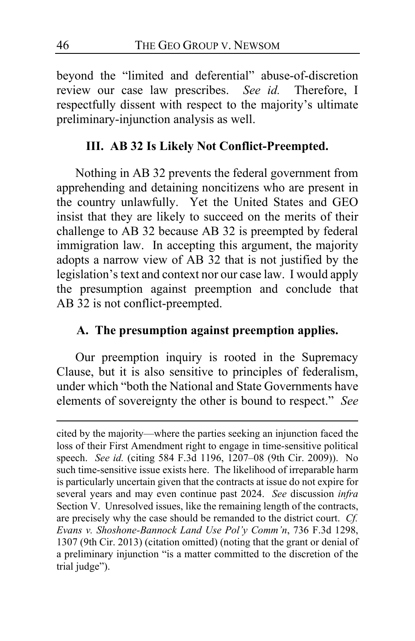beyond the "limited and deferential" abuse-of-discretion review our case law prescribes. *See id.* Therefore, I respectfully dissent with respect to the majority's ultimate preliminary-injunction analysis as well.

### **III. AB 32 Is Likely Not Conflict-Preempted.**

Nothing in AB 32 prevents the federal government from apprehending and detaining noncitizens who are present in the country unlawfully. Yet the United States and GEO insist that they are likely to succeed on the merits of their challenge to AB 32 because AB 32 is preempted by federal immigration law. In accepting this argument, the majority adopts a narrow view of AB 32 that is not justified by the legislation's text and context nor our case law. I would apply the presumption against preemption and conclude that AB 32 is not conflict-preempted.

### **A. The presumption against preemption applies.**

Our preemption inquiry is rooted in the Supremacy Clause, but it is also sensitive to principles of federalism, under which "both the National and State Governments have elements of sovereignty the other is bound to respect." *See* 

cited by the majority—where the parties seeking an injunction faced the loss of their First Amendment right to engage in time-sensitive political speech. *See id.* (citing 584 F.3d 1196, 1207–08 (9th Cir. 2009)). No such time-sensitive issue exists here. The likelihood of irreparable harm is particularly uncertain given that the contracts at issue do not expire for several years and may even continue past 2024. *See* discussion *infra*  Section V. Unresolved issues, like the remaining length of the contracts, are precisely why the case should be remanded to the district court. *Cf. Evans v. Shoshone-Bannock Land Use Pol'y Comm'n*, 736 F.3d 1298, 1307 (9th Cir. 2013) (citation omitted) (noting that the grant or denial of a preliminary injunction "is a matter committed to the discretion of the trial judge").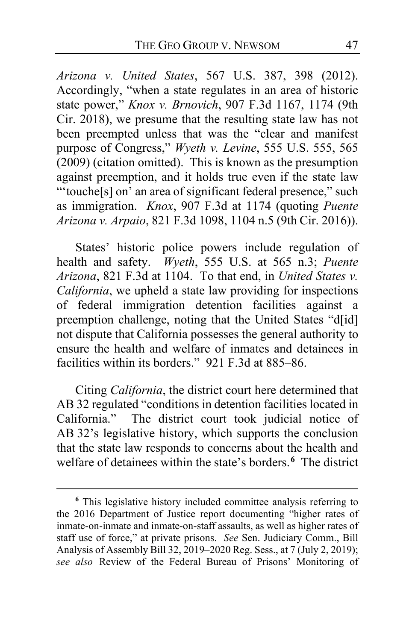*Arizona v. United States*, 567 U.S. 387, 398 (2012). Accordingly, "when a state regulates in an area of historic state power," *Knox v. Brnovich*, 907 F.3d 1167, 1174 (9th Cir. 2018), we presume that the resulting state law has not been preempted unless that was the "clear and manifest purpose of Congress," *Wyeth v. Levine*, 555 U.S. 555, 565 (2009) (citation omitted). This is known as the presumption against preemption, and it holds true even if the state law "'touche[s] on' an area of significant federal presence," such as immigration. *Knox*, 907 F.3d at 1174 (quoting *Puente Arizona v. Arpaio*, 821 F.3d 1098, 1104 n.5 (9th Cir. 2016)).

States' historic police powers include regulation of health and safety. *Wyeth*, 555 U.S. at 565 n.3; *Puente Arizona*, 821 F.3d at 1104. To that end, in *United States v. California*, we upheld a state law providing for inspections of federal immigration detention facilities against a preemption challenge, noting that the United States "d[id] not dispute that California possesses the general authority to ensure the health and welfare of inmates and detainees in facilities within its borders." 921 F.3d at 885–86.

Citing *California*, the district court here determined that AB 32 regulated "conditions in detention facilities located in California." The district court took judicial notice of AB 32's legislative history, which supports the conclusion that the state law responds to concerns about the health and welfare of detainees within the state's borders.**[6](#page-46-0)** The district

<span id="page-46-0"></span>**<sup>6</sup>** This legislative history included committee analysis referring to the 2016 Department of Justice report documenting "higher rates of inmate-on-inmate and inmate-on-staff assaults, as well as higher rates of staff use of force," at private prisons. *See* Sen. Judiciary Comm., Bill Analysis of Assembly Bill 32, 2019–2020 Reg. Sess., at 7 (July 2, 2019); *see also* Review of the Federal Bureau of Prisons' Monitoring of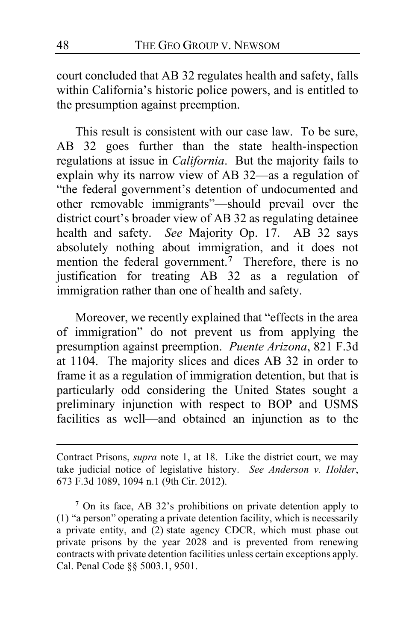court concluded that AB 32 regulates health and safety, falls within California's historic police powers, and is entitled to the presumption against preemption.

This result is consistent with our case law. To be sure, AB 32 goes further than the state health-inspection regulations at issue in *California*. But the majority fails to explain why its narrow view of AB 32—as a regulation of "the federal government's detention of undocumented and other removable immigrants"—should prevail over the district court's broader view of AB 32 as regulating detainee health and safety. *See* Majority Op. [17.](#page-16-0) AB 32 says absolutely nothing about immigration, and it does not mention the federal government.**[7](#page-47-0)** Therefore, there is no justification for treating AB 32 as a regulation of immigration rather than one of health and safety.

Moreover, we recently explained that "effects in the area of immigration" do not prevent us from applying the presumption against preemption. *Puente Arizona*, 821 F.3d at 1104. The majority slices and dices AB 32 in order to frame it as a regulation of immigration detention, but that is particularly odd considering the United States sought a preliminary injunction with respect to BOP and USMS facilities as well—and obtained an injunction as to the

Contract Prisons, *supra* note 1, at 18. Like the district court, we may take judicial notice of legislative history. *See Anderson v. Holder*, 673 F.3d 1089, 1094 n.1 (9th Cir. 2012).

<span id="page-47-0"></span>**<sup>7</sup>** On its face, AB 32's prohibitions on private detention apply to (1) "a person" operating a private detention facility, which is necessarily a private entity, and (2) state agency CDCR, which must phase out private prisons by the year 2028 and is prevented from renewing contracts with private detention facilities unless certain exceptions apply. Cal. Penal Code §§ 5003.1, 9501.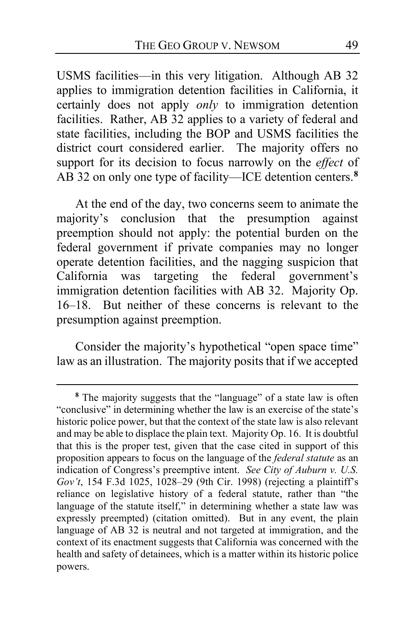USMS facilities—in this very litigation. Although AB 32 applies to immigration detention facilities in California, it certainly does not apply *only* to immigration detention facilities. Rather, AB 32 applies to a variety of federal and state facilities, including the BOP and USMS facilities the district court considered earlier. The majority offers no support for its decision to focus narrowly on the *effect* of AB 32 on only one type of facility—ICE detention centers.**[8](#page-48-0)**

At the end of the day, two concerns seem to animate the majority's conclusion that the presumption against preemption should not apply: the potential burden on the federal government if private companies may no longer operate detention facilities, and the nagging suspicion that California was targeting the federal government's immigration detention facilities with AB 32. Majority Op. [16–](#page-15-0)[18.](#page-17-1)But neither of these concerns is relevant to the presumption against preemption.

Consider the majority's hypothetical "open space time" law as an illustration. The majority posits that if we accepted

<span id="page-48-0"></span>**<sup>8</sup>** The majority suggests that the "language" of a state law is often "conclusive" in determining whether the law is an exercise of the state's historic police power, but that the context of the state law is also relevant and may be able to displace the plain text. Majority Op[. 16.](#page-15-1) It is doubtful that this is the proper test, given that the case cited in support of this proposition appears to focus on the language of the *federal statute* as an indication of Congress's preemptive intent. *See City of Auburn v. U.S. Gov't*, 154 F.3d 1025, 1028–29 (9th Cir. 1998) (rejecting a plaintiff's reliance on legislative history of a federal statute, rather than "the language of the statute itself," in determining whether a state law was expressly preempted) (citation omitted). But in any event, the plain language of AB 32 is neutral and not targeted at immigration, and the context of its enactment suggests that California was concerned with the health and safety of detainees, which is a matter within its historic police powers.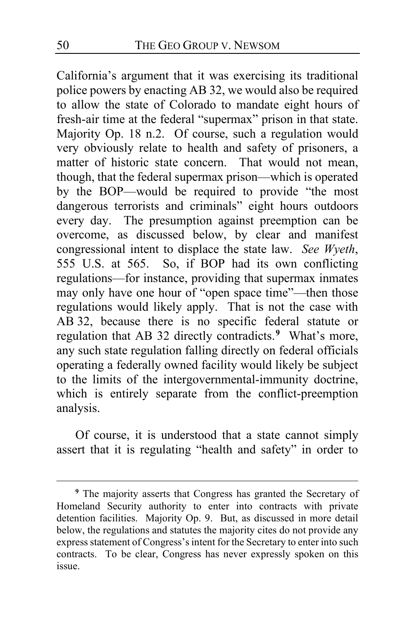California's argument that it was exercising its traditional police powers by enacting AB 32, we would also be required to allow the state of Colorado to mandate eight hours of fresh-air time at the federal "supermax" prison in that state. Majority Op. [18](#page-17-2) n.2. Of course, such a regulation would very obviously relate to health and safety of prisoners, a matter of historic state concern. That would not mean, though, that the federal supermax prison—which is operated by the BOP—would be required to provide "the most dangerous terrorists and criminals" eight hours outdoors every day. The presumption against preemption can be overcome, as discussed below, by clear and manifest congressional intent to displace the state law. *See Wyeth*, 555 U.S. at 565. So, if BOP had its own conflicting regulations—for instance, providing that supermax inmates may only have one hour of "open space time"—then those regulations would likely apply. That is not the case with AB 32, because there is no specific federal statute or regulation that AB 32 directly contradicts.**[9](#page-49-0)** What's more, any such state regulation falling directly on federal officials operating a federally owned facility would likely be subject to the limits of the intergovernmental-immunity doctrine, which is entirely separate from the conflict-preemption analysis.

Of course, it is understood that a state cannot simply assert that it is regulating "health and safety" in order to

<span id="page-49-0"></span>**<sup>9</sup>** The majority asserts that Congress has granted the Secretary of Homeland Security authority to enter into contracts with private detention facilities. Majority Op. [9.](#page-8-0) But, as discussed in more detail below, the regulations and statutes the majority cites do not provide any express statement of Congress's intent for the Secretary to enter into such contracts. To be clear, Congress has never expressly spoken on this issue.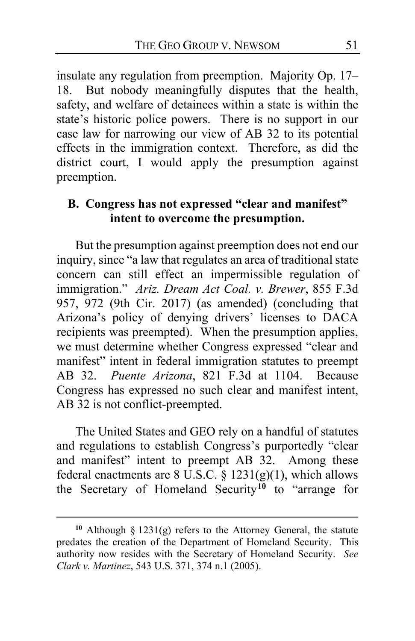insulate any regulation from preemption. Majority Op. [17–](#page-16-1) [18.](#page-17-1) But nobody meaningfully disputes that the health, safety, and welfare of detainees within a state is within the state's historic police powers. There is no support in our case law for narrowing our view of AB 32 to its potential effects in the immigration context. Therefore, as did the district court, I would apply the presumption against preemption.

### **B. Congress has not expressed "clear and manifest" intent to overcome the presumption.**

But the presumption against preemption does not end our inquiry, since "a law that regulates an area of traditional state concern can still effect an impermissible regulation of immigration." *Ariz. Dream Act Coal. v. Brewer*, 855 F.3d 957, 972 (9th Cir. 2017) (as amended) (concluding that Arizona's policy of denying drivers' licenses to DACA recipients was preempted). When the presumption applies, we must determine whether Congress expressed "clear and manifest" intent in federal immigration statutes to preempt AB 32. *Puente Arizona*, 821 F.3d at 1104. Because Congress has expressed no such clear and manifest intent, AB 32 is not conflict-preempted.

The United States and GEO rely on a handful of statutes and regulations to establish Congress's purportedly "clear and manifest" intent to preempt AB 32. Among these federal enactments are 8 U.S.C. §  $1231(g)(1)$ , which allows the Secretary of Homeland Security**[10](#page-50-0)** to "arrange for

<span id="page-50-0"></span>**<sup>10</sup>** Although § 1231(g) refers to the Attorney General, the statute predates the creation of the Department of Homeland Security. This authority now resides with the Secretary of Homeland Security. *See Clark v. Martinez*, 543 U.S. 371, 374 n.1 (2005).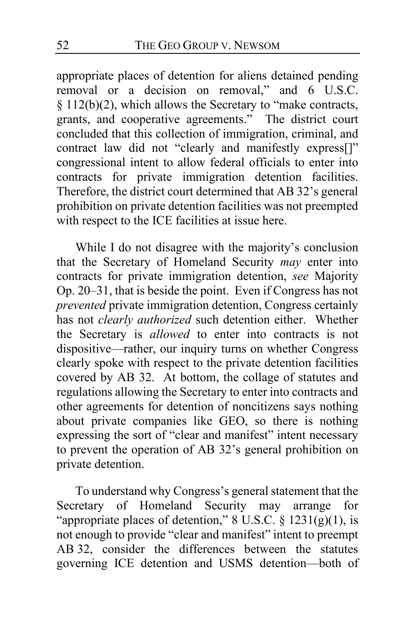appropriate places of detention for aliens detained pending removal or a decision on removal," and 6 U.S.C. § 112(b)(2), which allows the Secretary to "make contracts, grants, and cooperative agreements." The district court concluded that this collection of immigration, criminal, and contract law did not "clearly and manifestly express[]" congressional intent to allow federal officials to enter into contracts for private immigration detention facilities. Therefore, the district court determined that AB 32's general prohibition on private detention facilities was not preempted with respect to the ICE facilities at issue here.

While I do not disagree with the majority's conclusion that the Secretary of Homeland Security *may* enter into contracts for private immigration detention, *see* Majority Op. [20](#page-19-0)[–31,](#page-30-0) that is beside the point. Even if Congress has not *prevented* private immigration detention, Congress certainly has not *clearly authorized* such detention either. Whether the Secretary is *allowed* to enter into contracts is not dispositive—rather, our inquiry turns on whether Congress clearly spoke with respect to the private detention facilities covered by AB 32. At bottom, the collage of statutes and regulations allowing the Secretary to enter into contracts and other agreements for detention of noncitizens says nothing about private companies like GEO, so there is nothing expressing the sort of "clear and manifest" intent necessary to prevent the operation of AB 32's general prohibition on private detention.

To understand why Congress's general statement that the Secretary of Homeland Security may arrange for "appropriate places of detention,"  $8 \text{ U.S.C.} \$ § 1231(g)(1), is not enough to provide "clear and manifest" intent to preempt AB 32, consider the differences between the statutes governing ICE detention and USMS detention—both of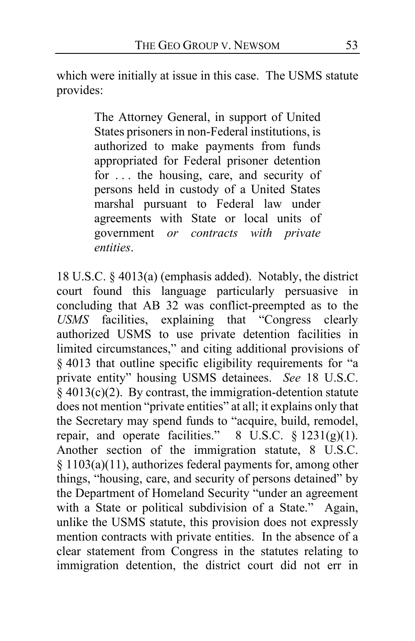which were initially at issue in this case. The USMS statute provides:

> The Attorney General, in support of United States prisoners in non-Federal institutions, is authorized to make payments from funds appropriated for Federal prisoner detention for . . . the housing, care, and security of persons held in custody of a United States marshal pursuant to Federal law under agreements with State or local units of government *or contracts with private entities*.

18 U.S.C. § 4013(a) (emphasis added). Notably, the district court found this language particularly persuasive in concluding that AB 32 was conflict-preempted as to the *USMS* facilities, explaining that "Congress clearly authorized USMS to use private detention facilities in limited circumstances," and citing additional provisions of § 4013 that outline specific eligibility requirements for "a private entity" housing USMS detainees. *See* 18 U.S.C.  $\frac{1}{2}$  4013(c)(2). By contrast, the immigration-detention statute does not mention "private entities" at all; it explains only that the Secretary may spend funds to "acquire, build, remodel, repair, and operate facilities."  $8 \text{ U.S.C. } § 1231(g)(1)$ . Another section of the immigration statute, 8 U.S.C. § 1103(a)(11), authorizes federal payments for, among other things, "housing, care, and security of persons detained" by the Department of Homeland Security "under an agreement with a State or political subdivision of a State." Again, unlike the USMS statute, this provision does not expressly mention contracts with private entities. In the absence of a clear statement from Congress in the statutes relating to immigration detention, the district court did not err in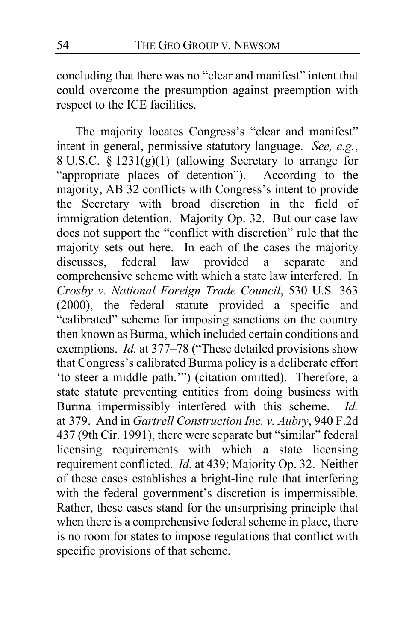concluding that there was no "clear and manifest" intent that could overcome the presumption against preemption with respect to the ICE facilities.

The majority locates Congress's "clear and manifest" intent in general, permissive statutory language. *See, e.g.*, 8 U.S.C. § 1231(g)(1) (allowing Secretary to arrange for "appropriate places of detention"). According to the majority, AB 32 conflicts with Congress's intent to provide the Secretary with broad discretion in the field of immigration detention. Majority Op. [32.](#page-31-0)But our case law does not support the "conflict with discretion" rule that the majority sets out here. In each of the cases the majority discusses, federal law provided a separate and comprehensive scheme with which a state law interfered. In *Crosby v. National Foreign Trade Council*, 530 U.S. 363 (2000), the federal statute provided a specific and "calibrated" scheme for imposing sanctions on the country then known as Burma, which included certain conditions and exemptions. *Id.* at 377–78 ("These detailed provisions show that Congress's calibrated Burma policy is a deliberate effort 'to steer a middle path.'") (citation omitted). Therefore, a state statute preventing entities from doing business with Burma impermissibly interfered with this scheme. *Id.*  at 379. And in *Gartrell Construction Inc. v. Aubry*, 940 F.2d 437 (9th Cir. 1991), there were separate but "similar" federal licensing requirements with which a state licensing requirement conflicted. *Id.* at 439; Majority Op. [32.](#page-31-1) Neither of these cases establishes a bright-line rule that interfering with the federal government's discretion is impermissible. Rather, these cases stand for the unsurprising principle that when there is a comprehensive federal scheme in place, there is no room for states to impose regulations that conflict with specific provisions of that scheme.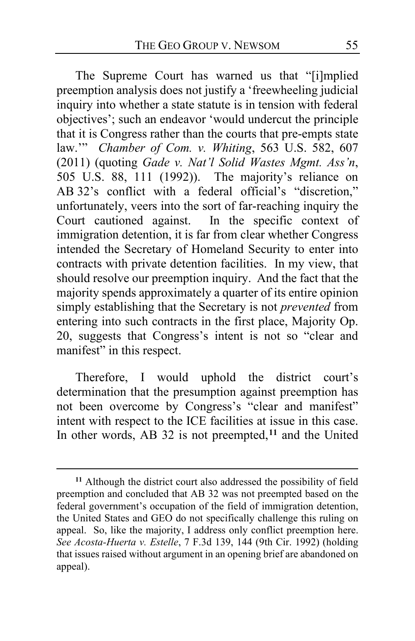The Supreme Court has warned us that "[i]mplied preemption analysis does not justify a 'freewheeling judicial inquiry into whether a state statute is in tension with federal objectives'; such an endeavor 'would undercut the principle that it is Congress rather than the courts that pre-empts state law.'" *Chamber of Com. v. Whiting*, 563 U.S. 582, 607 (2011) (quoting *Gade v. Nat'l Solid Wastes Mgmt. Ass'n*, 505 U.S. 88, 111 (1992)). The majority's reliance on AB 32's conflict with a federal official's "discretion," unfortunately, veers into the sort of far-reaching inquiry the Court cautioned against. In the specific context of immigration detention, it is far from clear whether Congress intended the Secretary of Homeland Security to enter into contracts with private detention facilities. In my view, that should resolve our preemption inquiry. And the fact that the majority spends approximately a quarter of its entire opinion simply establishing that the Secretary is not *prevented* from entering into such contracts in the first place, Majority Op. [20,](#page-19-0) suggests that Congress's intent is not so "clear and manifest" in this respect.

Therefore, I would uphold the district court's determination that the presumption against preemption has not been overcome by Congress's "clear and manifest" intent with respect to the ICE facilities at issue in this case. In other words, AB 32 is not preempted,**[11](#page-54-0)** and the United

<span id="page-54-0"></span>**<sup>11</sup>** Although the district court also addressed the possibility of field preemption and concluded that AB 32 was not preempted based on the federal government's occupation of the field of immigration detention, the United States and GEO do not specifically challenge this ruling on appeal. So, like the majority, I address only conflict preemption here. *See Acosta-Huerta v. Estelle*, 7 F.3d 139, 144 (9th Cir. 1992) (holding that issues raised without argument in an opening brief are abandoned on appeal).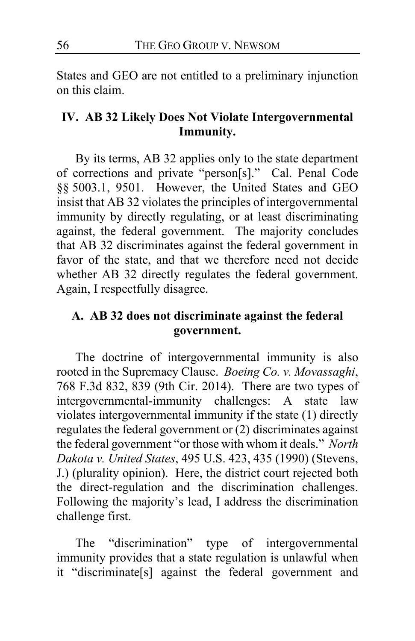States and GEO are not entitled to a preliminary injunction on this claim.

### **IV. AB 32 Likely Does Not Violate Intergovernmental Immunity.**

By its terms, AB 32 applies only to the state department of corrections and private "person[s]." Cal. Penal Code §§ 5003.1, 9501. However, the United States and GEO insist that AB 32 violates the principles of intergovernmental immunity by directly regulating, or at least discriminating against, the federal government. The majority concludes that AB 32 discriminates against the federal government in favor of the state, and that we therefore need not decide whether AB 32 directly regulates the federal government. Again, I respectfully disagree.

### **A. AB 32 does not discriminate against the federal government.**

The doctrine of intergovernmental immunity is also rooted in the Supremacy Clause. *Boeing Co. v. Movassaghi*, 768 F.3d 832, 839 (9th Cir. 2014). There are two types of intergovernmental-immunity challenges: A state law violates intergovernmental immunity if the state (1) directly regulates the federal government or (2) discriminates against the federal government "or those with whom it deals." *North Dakota v. United States*, 495 U.S. 423, 435 (1990) (Stevens, J.) (plurality opinion). Here, the district court rejected both the direct-regulation and the discrimination challenges. Following the majority's lead, I address the discrimination challenge first.

The "discrimination" type of intergovernmental immunity provides that a state regulation is unlawful when it "discriminate[s] against the federal government and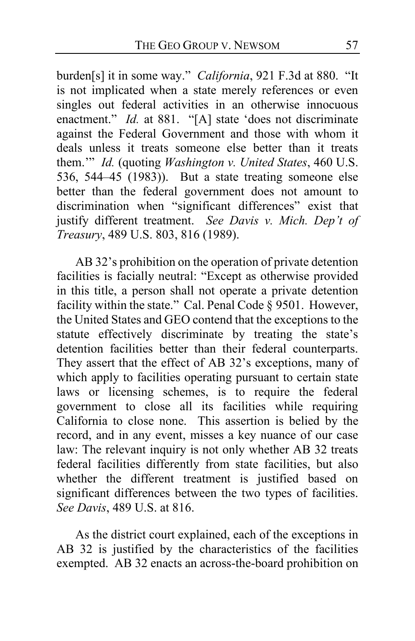burden[s] it in some way." *California*, 921 F.3d at 880. "It is not implicated when a state merely references or even singles out federal activities in an otherwise innocuous enactment." *Id.* at 881. "[A] state 'does not discriminate against the Federal Government and those with whom it deals unless it treats someone else better than it treats them.'" *Id.* (quoting *Washington v. United States*, 460 U.S. 536, 544–45 (1983)). But a state treating someone else better than the federal government does not amount to discrimination when "significant differences" exist that justify different treatment. *See Davis v. Mich. Dep't of Treasury*, 489 U.S. 803, 816 (1989).

AB 32's prohibition on the operation of private detention facilities is facially neutral: "Except as otherwise provided in this title, a person shall not operate a private detention facility within the state." Cal. Penal Code § 9501. However, the United States and GEO contend that the exceptions to the statute effectively discriminate by treating the state's detention facilities better than their federal counterparts. They assert that the effect of AB 32's exceptions, many of which apply to facilities operating pursuant to certain state laws or licensing schemes, is to require the federal government to close all its facilities while requiring California to close none. This assertion is belied by the record, and in any event, misses a key nuance of our case law: The relevant inquiry is not only whether AB 32 treats federal facilities differently from state facilities, but also whether the different treatment is justified based on significant differences between the two types of facilities. *See Davis*, 489 U.S. at 816.

As the district court explained, each of the exceptions in AB 32 is justified by the characteristics of the facilities exempted. AB 32 enacts an across-the-board prohibition on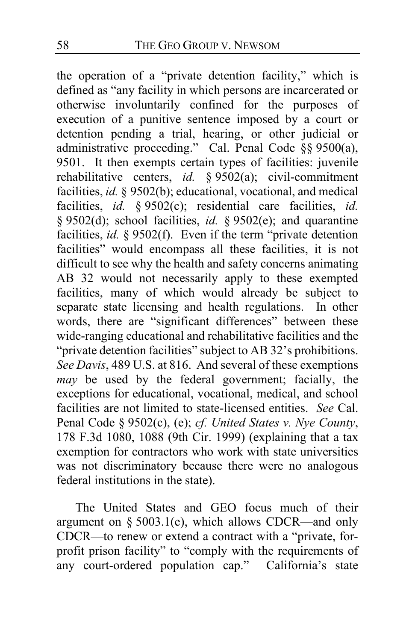the operation of a "private detention facility," which is defined as "any facility in which persons are incarcerated or otherwise involuntarily confined for the purposes of execution of a punitive sentence imposed by a court or detention pending a trial, hearing, or other judicial or administrative proceeding." Cal. Penal Code §§ 9500(a), 9501. It then exempts certain types of facilities: juvenile rehabilitative centers, *id.* § 9502(a); civil-commitment facilities, *id.* § 9502(b); educational, vocational, and medical facilities, *id.* § 9502(c); residential care facilities, *id.*  § 9502(d); school facilities, *id.* § 9502(e); and quarantine facilities, *id.* § 9502(f). Even if the term "private detention facilities" would encompass all these facilities, it is not difficult to see why the health and safety concerns animating AB 32 would not necessarily apply to these exempted facilities, many of which would already be subject to separate state licensing and health regulations. In other words, there are "significant differences" between these wide-ranging educational and rehabilitative facilities and the "private detention facilities" subject to AB 32's prohibitions. *See Davis*, 489 U.S. at 816. And several of these exemptions *may* be used by the federal government; facially, the exceptions for educational, vocational, medical, and school facilities are not limited to state-licensed entities. *See* Cal. Penal Code § 9502(c), (e); *cf. United States v. Nye County*, 178 F.3d 1080, 1088 (9th Cir. 1999) (explaining that a tax exemption for contractors who work with state universities was not discriminatory because there were no analogous federal institutions in the state).

The United States and GEO focus much of their argument on § 5003.1(e), which allows CDCR—and only CDCR—to renew or extend a contract with a "private, forprofit prison facility" to "comply with the requirements of any court-ordered population cap." California's state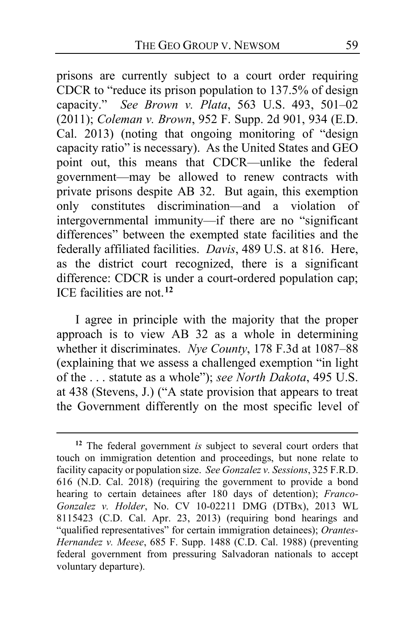prisons are currently subject to a court order requiring CDCR to "reduce its prison population to 137.5% of design capacity." *See Brown v. Plata*, 563 U.S. 493, 501–02 (2011); *Coleman v. Brown*, 952 F. Supp. 2d 901, 934 (E.D. Cal. 2013) (noting that ongoing monitoring of "design capacity ratio" is necessary). As the United States and GEO point out, this means that CDCR—unlike the federal government—may be allowed to renew contracts with private prisons despite AB 32. But again, this exemption only constitutes discrimination—and a violation of intergovernmental immunity—if there are no "significant differences" between the exempted state facilities and the federally affiliated facilities. *Davis*, 489 U.S. at 816. Here, as the district court recognized, there is a significant difference: CDCR is under a court-ordered population cap; ICE facilities are not.**[12](#page-58-0)**

I agree in principle with the majority that the proper approach is to view AB 32 as a whole in determining whether it discriminates. *Nye County*, 178 F.3d at 1087–88 (explaining that we assess a challenged exemption "in light of the . . . statute as a whole"); *see North Dakota*, 495 U.S. at 438 (Stevens, J.) ("A state provision that appears to treat the Government differently on the most specific level of

<span id="page-58-0"></span>**<sup>12</sup>** The federal government *is* subject to several court orders that touch on immigration detention and proceedings, but none relate to facility capacity or population size. *See Gonzalez v. Sessions*, 325 F.R.D. 616 (N.D. Cal. 2018) (requiring the government to provide a bond hearing to certain detainees after 180 days of detention); *Franco-Gonzalez v. Holder*, No. CV 10-02211 DMG (DTBx), 2013 WL 8115423 (C.D. Cal. Apr. 23, 2013) (requiring bond hearings and "qualified representatives" for certain immigration detainees); *Orantes-Hernandez v. Meese*, 685 F. Supp. 1488 (C.D. Cal. 1988) (preventing federal government from pressuring Salvadoran nationals to accept voluntary departure).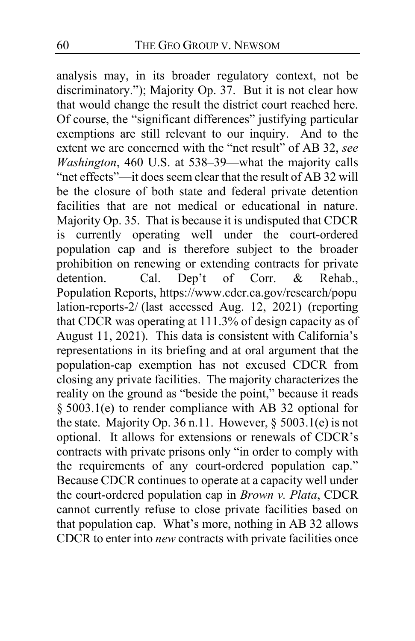analysis may, in its broader regulatory context, not be discriminatory."); Majority Op. [37.](#page-36-1) But it is not clear how that would change the result the district court reached here. Of course, the "significant differences" justifying particular exemptions are still relevant to our inquiry. And to the extent we are concerned with the "net result" of AB 32, *see Washington*, 460 U.S. at 538–39—what the majority calls "net effects"—it does seem clear that the result of AB 32 will be the closure of both state and federal private detention facilities that are not medical or educational in nature. Majority Op[. 35.](#page-34-0)That is because it is undisputed that CDCR is currently operating well under the court-ordered population cap and is therefore subject to the broader prohibition on renewing or extending contracts for private<br>detention. Cal. Dep't of Corr. & Rehab.. detention. Cal. Dep't of Corr. & Rehab., Population Reports, https://www.cdcr.ca.gov/research/popu lation-reports-2/ (last accessed Aug. 12, 2021) (reporting that CDCR was operating at 111.3% of design capacity as of August 11, 2021). This data is consistent with California's representations in its briefing and at oral argument that the population-cap exemption has not excused CDCR from closing any private facilities. The majority characterizes the reality on the ground as "beside the point," because it reads § 5003.1(e) to render compliance with AB 32 optional for the state. Majority Op[. 36](#page-35-2) n.11. However,  $\S$  5003.1(e) is not optional. It allows for extensions or renewals of CDCR's contracts with private prisons only "in order to comply with the requirements of any court-ordered population cap." Because CDCR continues to operate at a capacity well under the court-ordered population cap in *Brown v. Plata*, CDCR cannot currently refuse to close private facilities based on that population cap. What's more, nothing in AB 32 allows CDCR to enter into *new* contracts with private facilities once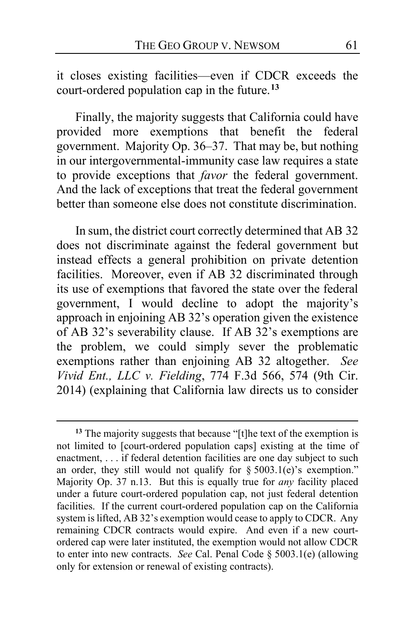it closes existing facilities—even if CDCR exceeds the court-ordered population cap in the future.**[13](#page-60-0)**

Finally, the majority suggests that California could have provided more exemptions that benefit the federal government. Majority Op. [36–](#page-35-3)[37.](#page-36-2) That may be, but nothing in our intergovernmental-immunity case law requires a state to provide exceptions that *favor* the federal government. And the lack of exceptions that treat the federal government better than someone else does not constitute discrimination.

In sum, the district court correctly determined that AB 32 does not discriminate against the federal government but instead effects a general prohibition on private detention facilities. Moreover, even if AB 32 discriminated through its use of exemptions that favored the state over the federal government, I would decline to adopt the majority's approach in enjoining AB 32's operation given the existence of AB 32's severability clause. If AB 32's exemptions are the problem, we could simply sever the problematic exemptions rather than enjoining AB 32 altogether. *See Vivid Ent., LLC v. Fielding*, 774 F.3d 566, 574 (9th Cir. 2014) (explaining that California law directs us to consider

<span id="page-60-0"></span>**<sup>13</sup>** The majority suggests that because "[t]he text of the exemption is not limited to [court-ordered population caps] existing at the time of enactment, . . . if federal detention facilities are one day subject to such an order, they still would not qualify for  $\S 5003.1(e)$ 's exemption." Majority Op. [37](#page-36-3) n.13. But this is equally true for *any* facility placed under a future court-ordered population cap, not just federal detention facilities. If the current court-ordered population cap on the California system is lifted, AB 32's exemption would cease to apply to CDCR. Any remaining CDCR contracts would expire. And even if a new courtordered cap were later instituted, the exemption would not allow CDCR to enter into new contracts. *See* Cal. Penal Code § 5003.1(e) (allowing only for extension or renewal of existing contracts).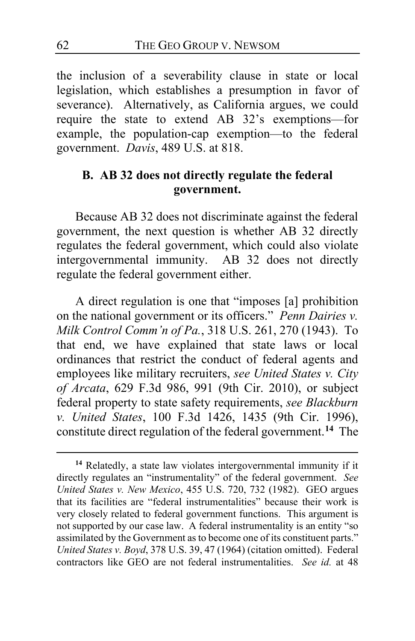the inclusion of a severability clause in state or local legislation, which establishes a presumption in favor of severance). Alternatively, as California argues, we could require the state to extend AB 32's exemptions—for example, the population-cap exemption—to the federal government. *Davis*, 489 U.S. at 818.

### **B. AB 32 does not directly regulate the federal government.**

Because AB 32 does not discriminate against the federal government, the next question is whether AB 32 directly regulates the federal government, which could also violate intergovernmental immunity. AB 32 does not directly regulate the federal government either.

A direct regulation is one that "imposes [a] prohibition on the national government or its officers." *Penn Dairies v. Milk Control Comm'n of Pa.*, 318 U.S. 261, 270 (1943). To that end, we have explained that state laws or local ordinances that restrict the conduct of federal agents and employees like military recruiters, *see United States v. City of Arcata*, 629 F.3d 986, 991 (9th Cir. 2010), or subject federal property to state safety requirements, *see Blackburn v. United States*, 100 F.3d 1426, 1435 (9th Cir. 1996), constitute direct regulation of the federal government.**[14](#page-61-0)** The

<span id="page-61-0"></span>**<sup>14</sup>** Relatedly, a state law violates intergovernmental immunity if it directly regulates an "instrumentality" of the federal government. *See United States v. New Mexico*, 455 U.S. 720, 732 (1982). GEO argues that its facilities are "federal instrumentalities" because their work is very closely related to federal government functions. This argument is not supported by our case law. A federal instrumentality is an entity "so assimilated by the Government as to become one of its constituent parts." *United States v. Boyd*, 378 U.S. 39, 47 (1964) (citation omitted). Federal contractors like GEO are not federal instrumentalities. *See id.* at 48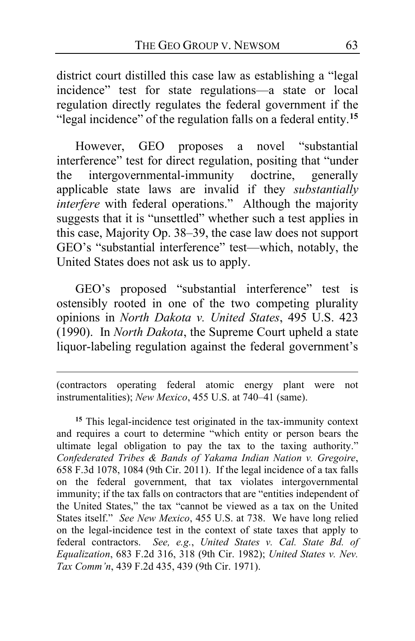district court distilled this case law as establishing a "legal incidence" test for state regulations—a state or local regulation directly regulates the federal government if the "legal incidence" of the regulation falls on a federal entity.**[15](#page-62-0)**

However, GEO proposes a novel "substantial interference" test for direct regulation, positing that "under the intergovernmental-immunity doctrine, generally applicable state laws are invalid if they *substantially interfere* with federal operations." Although the majority suggests that it is "unsettled" whether such a test applies in this case, Majority Op. [38–](#page-37-1)39, the case law does not support GEO's "substantial interference" test—which, notably, the United States does not ask us to apply.

GEO's proposed "substantial interference" test is ostensibly rooted in one of the two competing plurality opinions in *North Dakota v. United States*, 495 U.S. 423 (1990). In *North Dakota*, the Supreme Court upheld a state liquor-labeling regulation against the federal government's

(contractors operating federal atomic energy plant were not instrumentalities); *New Mexico*, 455 U.S. at 740–41 (same).

<span id="page-62-0"></span>**<sup>15</sup>** This legal-incidence test originated in the tax-immunity context and requires a court to determine "which entity or person bears the ultimate legal obligation to pay the tax to the taxing authority." *Confederated Tribes & Bands of Yakama Indian Nation v. Gregoire*, 658 F.3d 1078, 1084 (9th Cir. 2011). If the legal incidence of a tax falls on the federal government, that tax violates intergovernmental immunity; if the tax falls on contractors that are "entities independent of the United States," the tax "cannot be viewed as a tax on the United States itself." *See New Mexico*, 455 U.S. at 738. We have long relied on the legal-incidence test in the context of state taxes that apply to federal contractors. *See, e.g.*, *United States v. Cal. State Bd. of Equalization*, 683 F.2d 316, 318 (9th Cir. 1982); *United States v. Nev. Tax Comm'n*, 439 F.2d 435, 439 (9th Cir. 1971).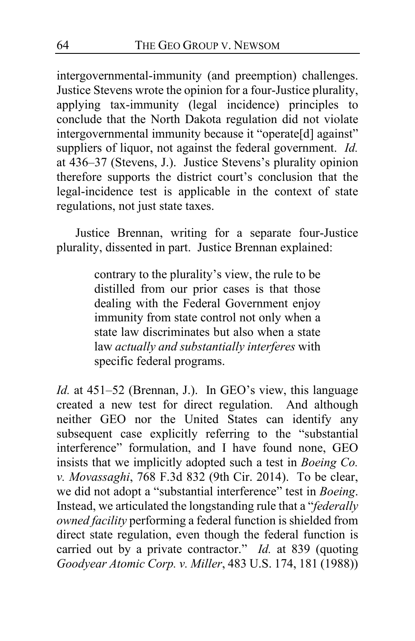intergovernmental-immunity (and preemption) challenges. Justice Stevens wrote the opinion for a four-Justice plurality, applying tax-immunity (legal incidence) principles to conclude that the North Dakota regulation did not violate intergovernmental immunity because it "operate[d] against" suppliers of liquor, not against the federal government. *Id.* at 436–37 (Stevens, J.). Justice Stevens's plurality opinion therefore supports the district court's conclusion that the legal-incidence test is applicable in the context of state regulations, not just state taxes.

Justice Brennan, writing for a separate four-Justice plurality, dissented in part. Justice Brennan explained:

> contrary to the plurality's view, the rule to be distilled from our prior cases is that those dealing with the Federal Government enjoy immunity from state control not only when a state law discriminates but also when a state law *actually and substantially interferes* with specific federal programs.

*Id.* at 451–52 (Brennan, J.). In GEO's view, this language created a new test for direct regulation. And although neither GEO nor the United States can identify any subsequent case explicitly referring to the "substantial interference" formulation, and I have found none, GEO insists that we implicitly adopted such a test in *Boeing Co. v. Movassaghi*, 768 F.3d 832 (9th Cir. 2014). To be clear, we did not adopt a "substantial interference" test in *Boeing*. Instead, we articulated the longstanding rule that a "*federally owned facility* performing a federal function is shielded from direct state regulation, even though the federal function is carried out by a private contractor." *Id.* at 839 (quoting *Goodyear Atomic Corp. v. Miller*, 483 U.S. 174, 181 (1988))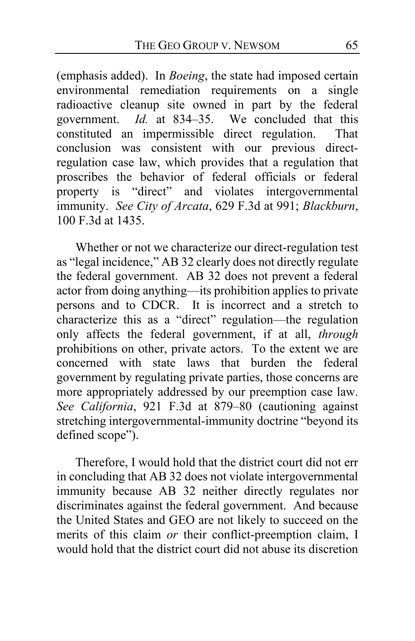(emphasis added). In *Boeing*, the state had imposed certain environmental remediation requirements on a single radioactive cleanup site owned in part by the federal government. *Id.* at 834–35. We concluded that this constituted an impermissible direct regulation. That conclusion was consistent with our previous directregulation case law, which provides that a regulation that proscribes the behavior of federal officials or federal property is "direct" and violates intergovernmental immunity. *See City of Arcata*, 629 F.3d at 991; *Blackburn*, 100 F.3d at 1435.

Whether or not we characterize our direct-regulation test as "legal incidence," AB 32 clearly does not directly regulate the federal government. AB 32 does not prevent a federal  $\frac{d}{dx}$  actor from doing anything—its prohibition applies to private persons and to CDCR. It is incorrect and a stretch to characterize this as a "direct" regulation—the regulation only affects the federal government, if at all, *through*  prohibitions on other, private actors. To the extent we are concerned with state laws that burden the federal concerned with state laws government by regulating private parties, those concerns are more appropriately addressed by our preemption case law. *See California*, 921 F.3d at 879–80 (cautioning against stretching intergovernmental-immunity doctrine "beyond its defined scope").

Therefore, I would hold that the district court did not err in concluding that AB 32 does not violate intergovernmental immunity because AB 32 neither directly regulates nor discriminates against the federal government. And because the United States and GEO are not likely to succeed on the merits of this claim *or* their conflict-preemption claim, I would hold that the district court did not abuse its discretion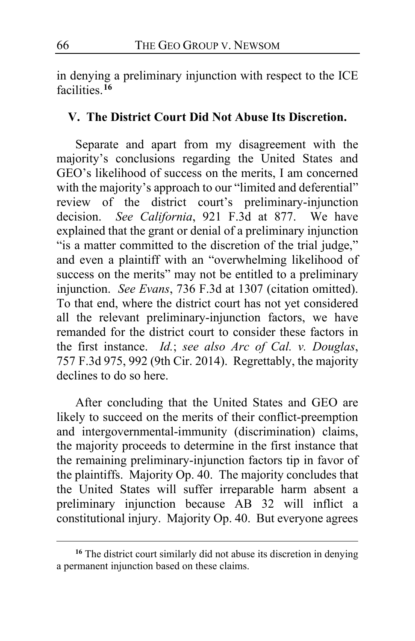in denying a preliminary injunction with respect to the ICE facilities.**[16](#page-65-0)**

#### **V. The District Court Did Not Abuse Its Discretion.**

Separate and apart from my disagreement with the majority's conclusions regarding the United States and GEO's likelihood of success on the merits, I am concerned with the majority's approach to our "limited and deferential" review of the district court's preliminary-injunction<br>decision. See California, 921 F.3d at 877. We have decision. *See California*, 921 F.3d at 877. explained that the grant or denial of a preliminary injunction "is a matter committed to the discretion of the trial judge," and even a plaintiff with an "overwhelming likelihood of success on the merits" may not be entitled to a preliminary injunction. *See Evans*, 736 F.3d at 1307 (citation omitted). To that end, where the district court has not yet considered all the relevant preliminary-injunction factors, we have remanded for the district court to consider these factors in the first instance. *Id.*; *see also Arc of Cal. v. Douglas*, 757 F.3d 975, 992 (9th Cir. 2014). Regrettably, the majority declines to do so here.

After concluding that the United States and GEO are likely to succeed on the merits of their conflict-preemption and intergovernmental-immunity (discrimination) claims, the majority proceeds to determine in the first instance that the remaining preliminary-injunction factors tip in favor of the plaintiffs. Majority Op. [40.](#page-39-0)The majority concludes that the United States will suffer irreparable harm absent a preliminary injunction because AB 32 will inflict a constitutional injury. Majority Op. [40.](#page-39-1) But everyone agrees

<span id="page-65-0"></span><sup>&</sup>lt;sup>16</sup> The district court similarly did not abuse its discretion in denying a permanent injunction based on these claims.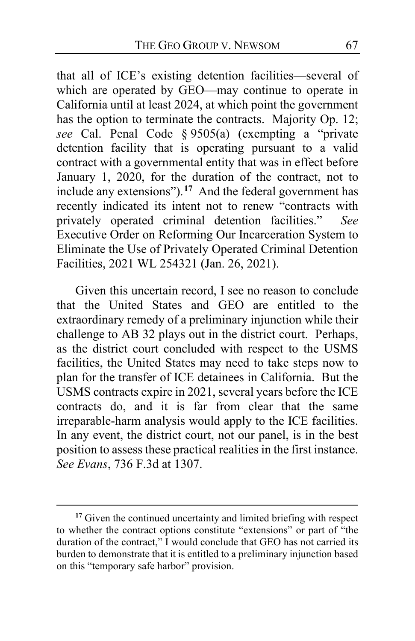that all of ICE's existing detention facilities—several of which are operated by GEO—may continue to operate in California until at least 2024, at which point the government has the option to terminate the contracts. Majority Op. 12; *see* Cal. Penal Code § 9505(a) (exempting a "private detention facility that is operating pursuant to a valid contract with a governmental entity that was in effect before January 1, 2020, for the duration of the contract, not to include any extensions").**[17](#page-66-0)** And the federal government has recently indicated its intent not to renew "contracts with privately operated criminal detention facilities." *See*  Executive Order on Reforming Our Incarceration System to Eliminate the Use of Privately Operated Criminal Detention Facilities, 2021 WL 254321 (Jan. 26, 2021).

Given this uncertain record, I see no reason to conclude that the United States and GEO are entitled to the extraordinary remedy of a preliminary injunction while their challenge to AB 32 plays out in the district court. Perhaps, as the district court concluded with respect to the USMS facilities, the United States may need to take steps now to plan for the transfer of ICE detainees in California. But the USMS contracts expire in 2021, several years before the ICE contracts do, and it is far from clear that the same irreparable-harm analysis would apply to the ICE facilities. In any event, the district court, not our panel, is in the best position to assess these practical realities in the first instance. *See Evans*, 736 F.3d at 1307.

<span id="page-66-0"></span><sup>&</sup>lt;sup>17</sup> Given the continued uncertainty and limited briefing with respect to whether the contract options constitute "extensions" or part of "the duration of the contract," I would conclude that GEO has not carried its burden to demonstrate that it is entitled to a preliminary injunction based on this "temporary safe harbor" provision.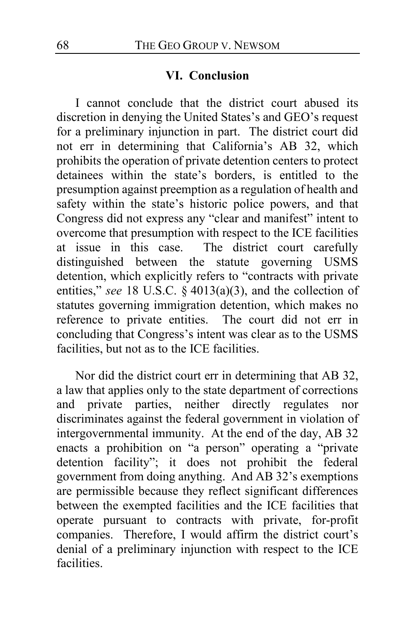#### **VI. Conclusion**

I cannot conclude that the district court abused its discretion in denying the United States's and GEO's request for a preliminary injunction in part. The district court did not err in determining that California's AB 32, which prohibits the operation of private detention centers to protect detainees within the state's borders, is entitled to the presumption against preemption as a regulation of health and safety within the state's historic police powers, and that Congress did not express any "clear and manifest" intent to overcome that presumption with respect to the ICE facilities at issue in this case. The district court carefully distinguished between the statute governing USMS detention, which explicitly refers to "contracts with private entities," *see* 18 U.S.C. § 4013(a)(3), and the collection of statutes governing immigration detention, which makes no reference to private entities. The court did not err in reference to private entities. concluding that Congress's intent was clear as to the USMS facilities, but not as to the ICE facilities.

Nor did the district court err in determining that AB 32, a law that applies only to the state department of corrections and private parties, neither directly regulates nor discriminates against the federal government in violation of intergovernmental immunity. At the end of the day, AB 32 enacts a prohibition on "a person" operating a "private detention facility"; it does not prohibit the federal government from doing anything. And AB 32's exemptions are permissible because they reflect significant differences between the exempted facilities and the ICE facilities that operate pursuant to contracts with private, for-profit companies. Therefore, I would affirm the district court's denial of a preliminary injunction with respect to the ICE facilities.